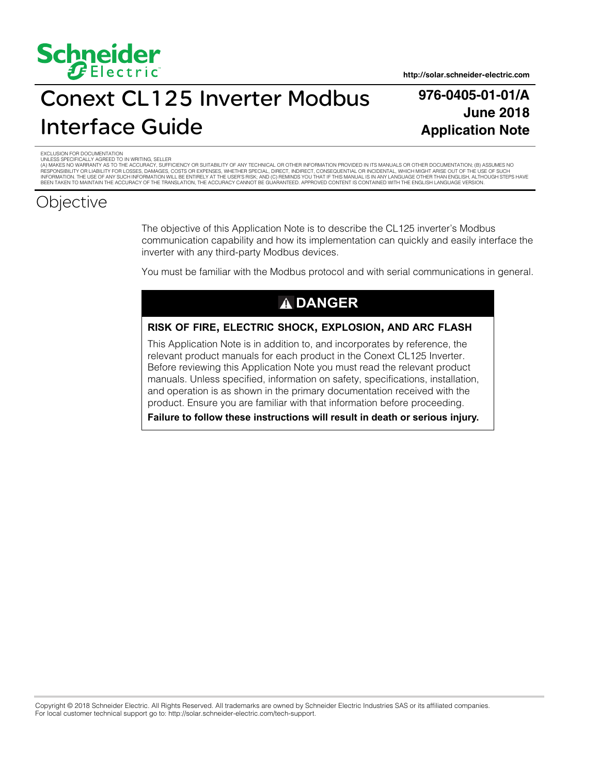

# Conext CL125 Inverter Modbus Interface Guide

### **976-0405-01-01/A June 2018 Application Note**

EXCLUSION FOR DOCUMENTATION

UNLESS SPECIFICALLY AGREED TO IN WRITING, SELLER<br>(A) MAKES NO WARRANTY AS TO THE ACCURACY, SUFFICIENCY OR SUITABILITY OF ANY TECHNICAL OR OTHER INFORMATION PROVIDED IN ITS MANUALS OR OTHER DOCUMENTATION; (B) ASSUMES NO<br>RES INFORMATION. THE USE OF ANY SUCH INFORMATION WILL BE ENTIRELY AT THE USER'S RISK; AND (C) REMINDS YOU THAT IF THIS MANUAL IS IN ANY LANGUAGE OTHER THAN ENGLISH, ALTHOUGH STEPS HAVE<br>BEEN TAKEN TO MAINTAIN THE ACCURACY OF TH

### **Objective**

The objective of this Application Note is to describe the CL125 inverter's Modbus communication capability and how its implementation can quickly and easily interface the inverter with any third-party Modbus devices.

You must be familiar with the Modbus protocol and with serial communications in general.

### **DANGER**

#### **RISK OF FIRE, ELECTRIC SHOCK, EXPLOSION, AND ARC FLASH**

This Application Note is in addition to, and incorporates by reference, the relevant product manuals for each product in the Conext CL125 Inverter. Before reviewing this Application Note you must read the relevant product manuals. Unless specified, information on safety, specifications, installation, and operation is as shown in the primary documentation received with the product. Ensure you are familiar with that information before proceeding.

**Failure to follow these instructions will result in death or serious injury.**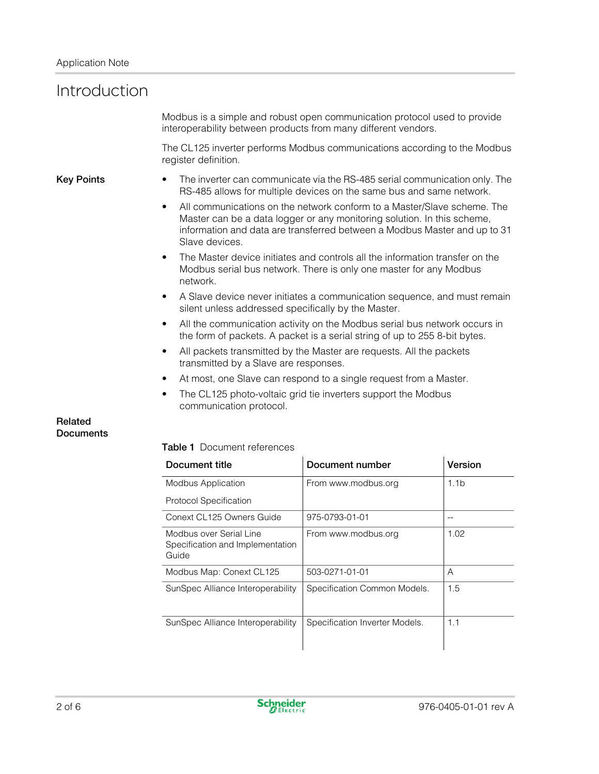### Introduction

Modbus is a simple and robust open communication protocol used to provide interoperability between products from many different vendors.

The CL125 inverter performs Modbus communications according to the Modbus register definition.

- **Key Points** The inverter can communicate via the RS-485 serial communication only. The RS-485 allows for multiple devices on the same bus and same network.
	- All communications on the network conform to a Master/Slave scheme. The Master can be a data logger or any monitoring solution. In this scheme, information and data are transferred between a Modbus Master and up to 31 Slave devices.
	- The Master device initiates and controls all the information transfer on the Modbus serial bus network. There is only one master for any Modbus network.
	- A Slave device never initiates a communication sequence, and must remain silent unless addressed specifically by the Master.
	- All the communication activity on the Modbus serial bus network occurs in the form of packets. A packet is a serial string of up to 255 8-bit bytes.
	- All packets transmitted by the Master are requests. All the packets transmitted by a Slave are responses.
	- At most, one Slave can respond to a single request from a Master.
	- The CL125 photo-voltaic grid tie inverters support the Modbus communication protocol.

#### **Related Documents**

#### **Table 1** Document references

| Document title                                                       | Document number                | Version          |
|----------------------------------------------------------------------|--------------------------------|------------------|
| <b>Modbus Application</b>                                            | From www.modbus.org            | 1.1 <sub>b</sub> |
| <b>Protocol Specification</b>                                        |                                |                  |
| Conext CL125 Owners Guide                                            | 975-0793-01-01                 |                  |
| Modbus over Serial Line<br>Specification and Implementation<br>Guide | From www.modbus.org            | 1.02             |
| Modbus Map: Conext CL125                                             | 503-0271-01-01                 | A                |
| SunSpec Alliance Interoperability                                    | Specification Common Models.   | 1.5              |
| SunSpec Alliance Interoperability                                    | Specification Inverter Models. | 1.1              |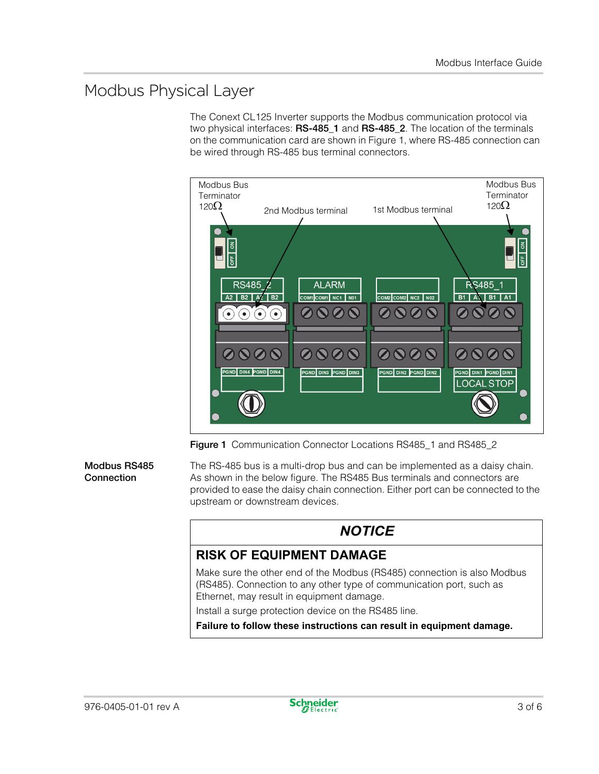### Modbus Physical Layer

The Conext CL125 Inverter supports the Modbus communication protocol via two physical interfaces: **RS-485\_1** and **RS-485\_2**. The location of the terminals on the communication card are shown in [Figure 1](#page-2-0), where RS-485 connection can be wired through RS-485 bus terminal connectors.



**Figure 1** Communication Connector Locations RS485\_1 and RS485\_2

#### <span id="page-2-0"></span>**Modbus RS485 Connection**

The RS-485 bus is a multi-drop bus and can be implemented as a daisy chain. As shown in the below figure. The RS485 Bus terminals and connectors are provided to ease the daisy chain connection. Either port can be connected to the upstream or downstream devices.

### *NOTICE*

### **RISK OF EQUIPMENT DAMAGE**

Make sure the other end of the Modbus (RS485) connection is also Modbus (RS485). Connection to any other type of communication port, such as Ethernet, may result in equipment damage.

Install a surge protection device on the RS485 line.

**Failure to follow these instructions can result in equipment damage.**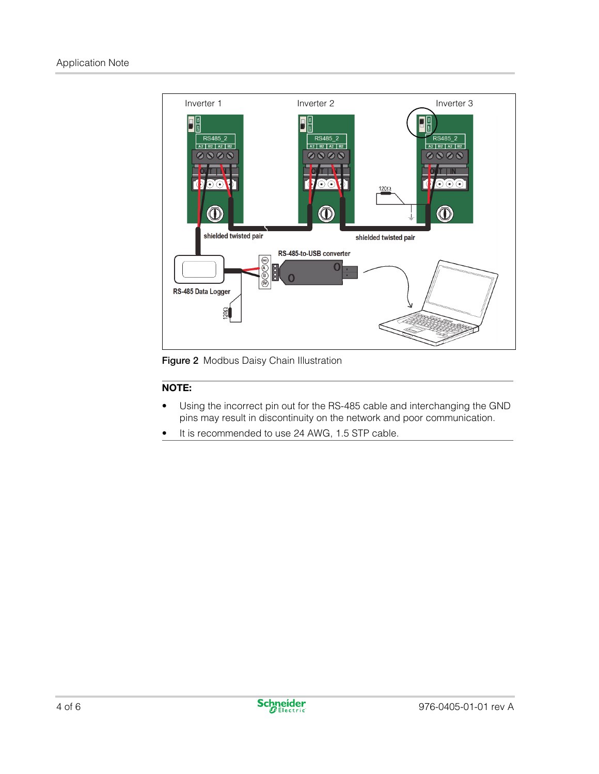

**Figure 2** Modbus Daisy Chain Illustration

#### **NOTE:**

- Using the incorrect pin out for the RS-485 cable and interchanging the GND pins may result in discontinuity on the network and poor communication.
- It is recommended to use 24 AWG, 1.5 STP cable.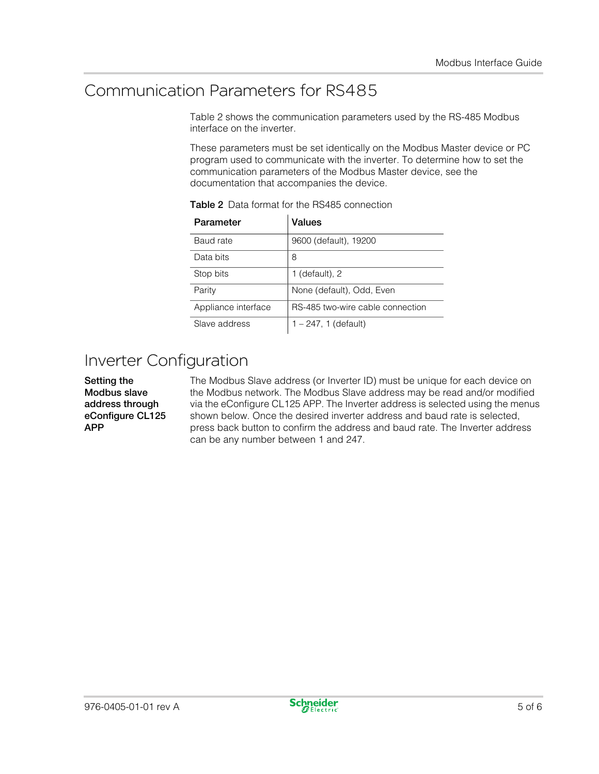### Communication Parameters for RS485

Table 2 shows the communication parameters used by the RS-485 Modbus interface on the inverter.

These parameters must be set identically on the Modbus Master device or PC program used to communicate with the inverter. To determine how to set the communication parameters of the Modbus Master device, see the documentation that accompanies the device.

| Parameter           | Values                           |
|---------------------|----------------------------------|
| Baud rate           | 9600 (default), 19200            |
| Data bits           | 8                                |
| Stop bits           | 1 (default), $2$                 |
| Parity              | None (default), Odd, Even        |
| Appliance interface | RS-485 two-wire cable connection |
| Slave address       | $1 - 247$ , 1 (default)          |

**Table 2** Data format for the RS485 connection

## Inverter Configuration

**Setting the Modbus slave address through eConfigure CL125 APP**

The Modbus Slave address (or Inverter ID) must be unique for each device on the Modbus network. The Modbus Slave address may be read and/or modified via the eConfigure CL125 APP. The Inverter address is selected using the menus shown below. Once the desired inverter address and baud rate is selected, press back button to confirm the address and baud rate. The Inverter address can be any number between 1 and 247.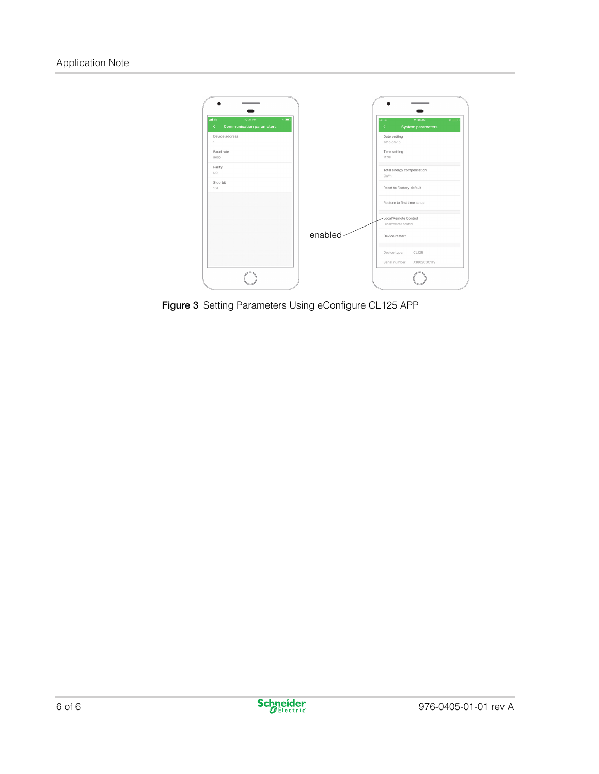

**Figure 3** Setting Parameters Using eConfigure CL125 APP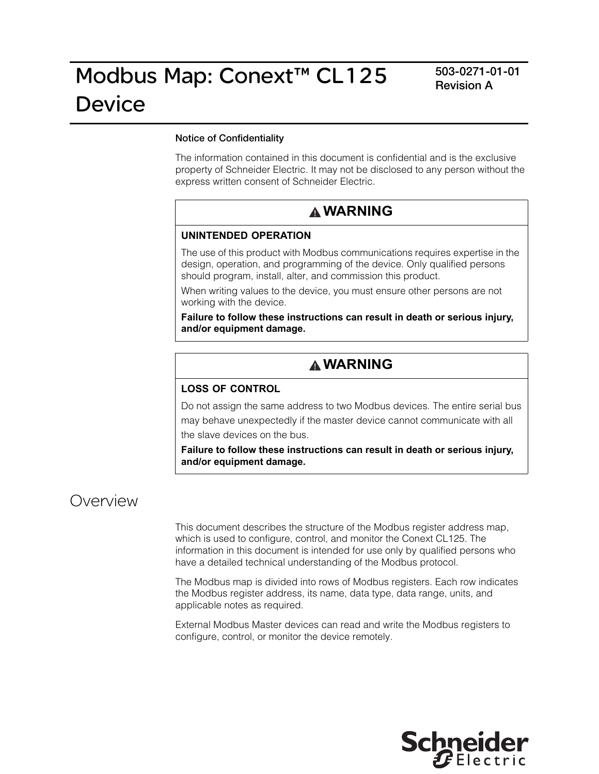#### **Notice of Confidentiality**

The information contained in this document is confidential and is the exclusive property of Schneider Electric. It may not be disclosed to any person without the express written consent of Schneider Electric.

### **WARNING**

#### **UNINTENDED OPERATION**

The use of this product with Modbus communications requires expertise in the design, operation, and programming of the device. Only qualified persons should program, install, alter, and commission this product.

When writing values to the device, you must ensure other persons are not working with the device.

**Failure to follow these instructions can result in death or serious injury, and/or equipment damage.**

### **WARNING**

#### **LOSS OF CONTROL**

Do not assign the same address to two Modbus devices. The entire serial bus may behave unexpectedly if the master device cannot communicate with all the slave devices on the bus.

**Failure to follow these instructions can result in death or serious injury, and/or equipment damage.**

### Overview

This document describes the structure of the Modbus register address map, which is used to configure, control, and monitor the Conext CL125. The information in this document is intended for use only by qualified persons who have a detailed technical understanding of the Modbus protocol.

The Modbus map is divided into rows of Modbus registers. Each row indicates the Modbus register address, its name, data type, data range, units, and applicable notes as required.

External Modbus Master devices can read and write the Modbus registers to configure, control, or monitor the device remotely.

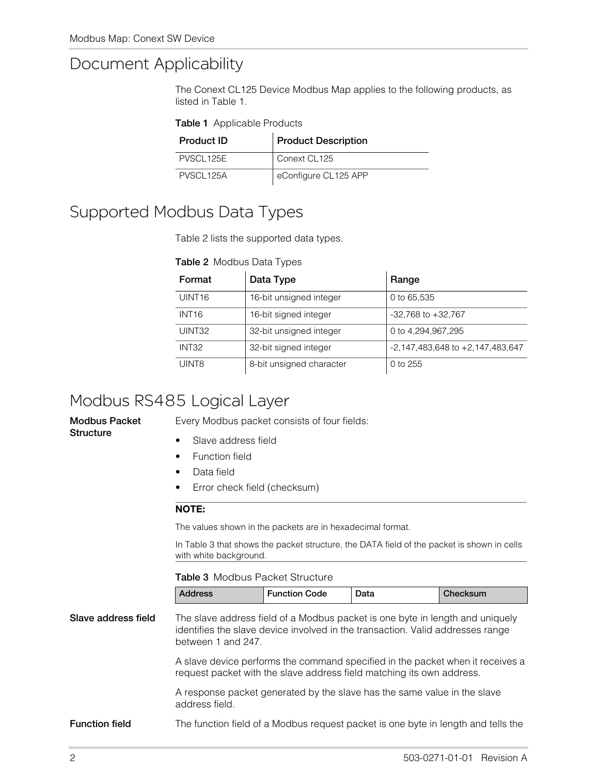### <span id="page-7-0"></span>Document Applica[bility](#page-7-0)

The Conext CL125 Device Modbus Map applies to the following products, as listed in Table 1.

#### **Table 1** Applicable Products

| <b>Product ID</b> | <b>Product Description</b> |
|-------------------|----------------------------|
| <b>PVSCL 125F</b> | Conext CL125               |
| <b>PVSCL125A</b>  | eConfigure CL125 APP       |

### <span id="page-7-1"></span>Supported M[odbus](#page-7-1) Data Types

Table 2 lists the supported data types.

#### **Table 2** Modbus Data Types

| Format             | Data Type                | Range                                |
|--------------------|--------------------------|--------------------------------------|
| UINT <sub>16</sub> | 16-bit unsigned integer  | 0 to 65,535                          |
| INT <sub>16</sub>  | 16-bit signed integer    | $-32,768$ to $+32,767$               |
| UINT32             | 32-bit unsigned integer  | 0 to 4,294,967,295                   |
| INT <sub>32</sub>  | 32-bit signed integer    | $-2,147,483,648$ to $+2,147,483,647$ |
| UINT8              | 8-bit unsigned character | 0 to $255$                           |

### Modbus RS485 Logical Layer

**Modbus Packet Structure**

Every Modbus packet consists of four fields:

- Slave address field
- **Function field**
- Data field
- Error check field (checksum)

#### **NOTE:**

T[he](#page-7-2) [values](#page-7-2) shown in the packets are in hexadecimal format.

In Table 3 that shows the packet structure, the DATA field of the packet is shown in cells with white background.

#### **Table 3** Modbus Packet Structure

| <b>Address</b> | <b>Function Code</b> | Data | Checksum |
|----------------|----------------------|------|----------|
|----------------|----------------------|------|----------|

<span id="page-7-2"></span>**Slave address field** The slave address field of a Modbus packet is one byte in length and uniquely identifies the slave device involved in the transaction. Valid addresses range between 1 and 247. A slave device performs the command specified in the packet when it receives a request packet with the slave address field matching its own address.

> A response packet generated by the slave has the same value in the slave address field.

**Function field** The function field of a Modbus request packet is one byte in length and tells the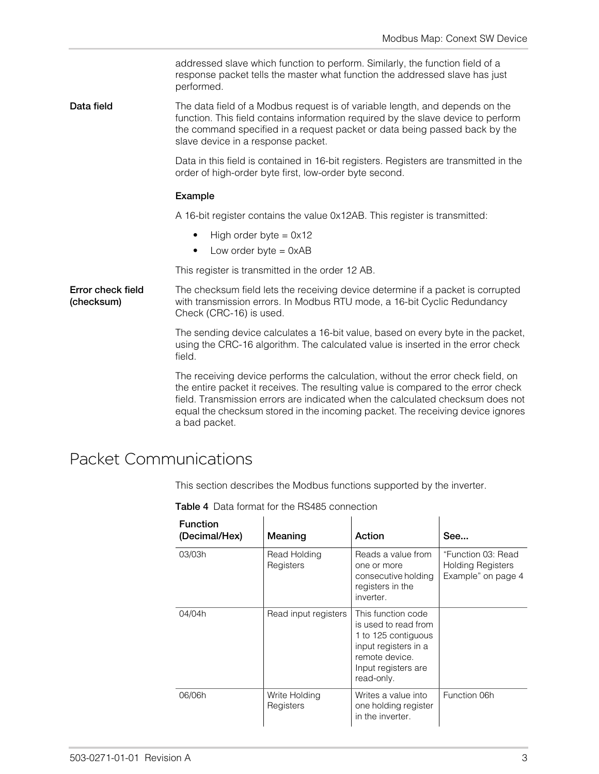addressed slave which function to perform. Similarly, the function field of a response packet tells the master what function the addressed slave has just performed.

**Data field** The data field of a Modbus request is of variable length, and depends on the function. This field contains information required by the slave device to perform the command specified in a request packet or data being passed back by the slave device in a response packet.

> Data in this field is contained in 16-bit registers. Registers are transmitted in the order of high-order byte first, low-order byte second.

#### **Example**

A 16-bit register contains the value 0x12AB. This register is transmitted:

- High order byte  $= 0x12$
- $\bullet$  Low order byte = 0xAB

This register is transmitted in the order 12 AB.

**Error check field (checksum)** The checksum field lets the receiving device determine if a packet is corrupted with transmission errors. In Modbus RTU mode, a 16-bit Cyclic Redundancy Check (CRC-16) is used.

> The sending device calculates a 16-bit value, based on every byte in the packet, using the CRC-16 algorithm. The calculated value is inserted in the error check field.

> The receiving device performs the calculation, without the error check field, on the entire packet it receives. The resulting value is compared to the error check field. Transmission errors are indicated when the calculated checksum does not equal the checksum stored in the incoming packet. The receiving device ignores a bad packet.

### <span id="page-8-0"></span>Packet Communications

This section describes the Modbus functions supported by the inverter.

| <b>Function</b><br>(Decimal/Hex) | Meaning                    | Action                                                                                                                                           | See                                                                  |
|----------------------------------|----------------------------|--------------------------------------------------------------------------------------------------------------------------------------------------|----------------------------------------------------------------------|
| 03/03h                           | Read Holding<br>Registers  | Reads a value from<br>one or more<br>consecutive holding<br>registers in the<br>inverter.                                                        | "Function 03: Read<br><b>Holding Registers</b><br>Example" on page 4 |
| 04/04h                           | Read input registers       | This function code<br>is used to read from<br>1 to 125 contiguous<br>input registers in a<br>remote device.<br>Input registers are<br>read-only. |                                                                      |
| 06/06h                           | Write Holding<br>Registers | Writes a value into<br>one holding register<br>in the inverter.                                                                                  | Function 06h                                                         |

**Table 4** Data format for the RS485 connection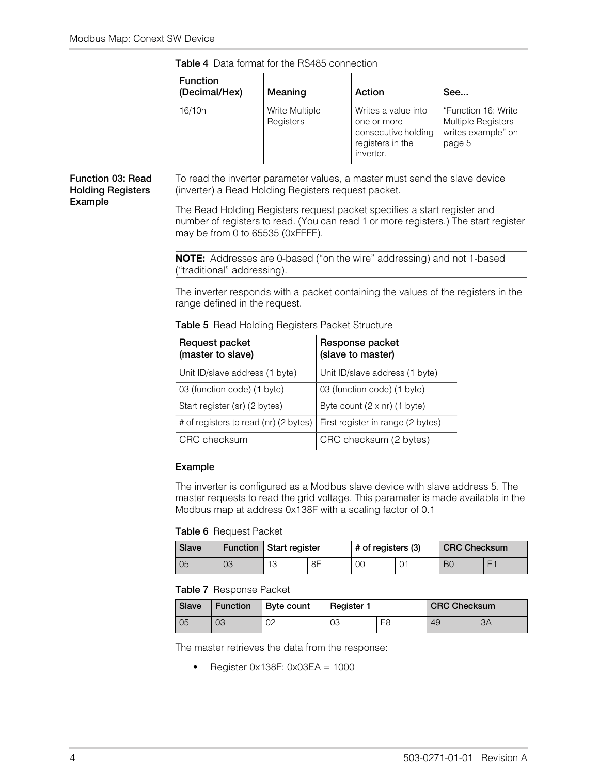| <b>Function</b><br>(Decimal/Hex) | Meaning                     | Action                                                                                     | See                                                                       |
|----------------------------------|-----------------------------|--------------------------------------------------------------------------------------------|---------------------------------------------------------------------------|
| 16/10h                           | Write Multiple<br>Registers | Writes a value into<br>one or more<br>consecutive holding<br>registers in the<br>inverter. | "Function 16: Write<br>Multiple Registers<br>writes example" on<br>page 5 |

**Table 4** Data format for the RS485 connection

#### <span id="page-9-0"></span>**Function 03: Read Holding Registers Example**

To read the inverter parameter values, a master must send the slave device (inverter) a Read Holding Registers request packet.

The Read Holding Registers request packet specifies a start register and number of registers to read. (You can read 1 or more registers.) The start register may be from 0 to 65535 (0xFFFF).

**NOTE:** Addresses are 0-based ("on the wire" addressing) and not 1-based ("traditional" addressing).

The inverter responds with a packet containing the values of the registers in the range defined in the request.

#### **Table 5** Read Holding Registers Packet Structure

| Request packet<br>(master to slave)   | Response packet<br>(slave to master) |
|---------------------------------------|--------------------------------------|
| Unit ID/slave address (1 byte)        | Unit ID/slave address (1 byte)       |
| 03 (function code) (1 byte)           | 03 (function code) (1 byte)          |
| Start register (sr) (2 bytes)         | Byte count $(2 \times nr)$ (1 byte)  |
| # of registers to read (nr) (2 bytes) | First register in range (2 bytes)    |
| CRC checksum                          | CRC checksum (2 bytes)               |

#### **Example**

The inverter is configured as a Modbus slave device with slave address 5. The master requests to read the grid voltage. This parameter is made available in the Modbus map at address 0x138F with a scaling factor of 0.1

#### **Table 6** Request Packet

| Slave |    | Function   Start register |    | # of registers (3) |  | <b>CRC Checksum</b> |  |
|-------|----|---------------------------|----|--------------------|--|---------------------|--|
| 05    | 03 | 1 C                       | 8F | 00                 |  | BC                  |  |

#### **Table 7** Response Packet

| Slave | $\mid$ Function | ∣ Byte count | <b>Register 1</b> |                | <b>CRC Checksum</b> |    |
|-------|-----------------|--------------|-------------------|----------------|---------------------|----|
| l 05  | 03              | 02           | 03                | E <sub>8</sub> | 49                  | 3A |

The master retrieves the data from the response:

• Register  $0 \times 138$ F:  $0 \times 03EA = 1000$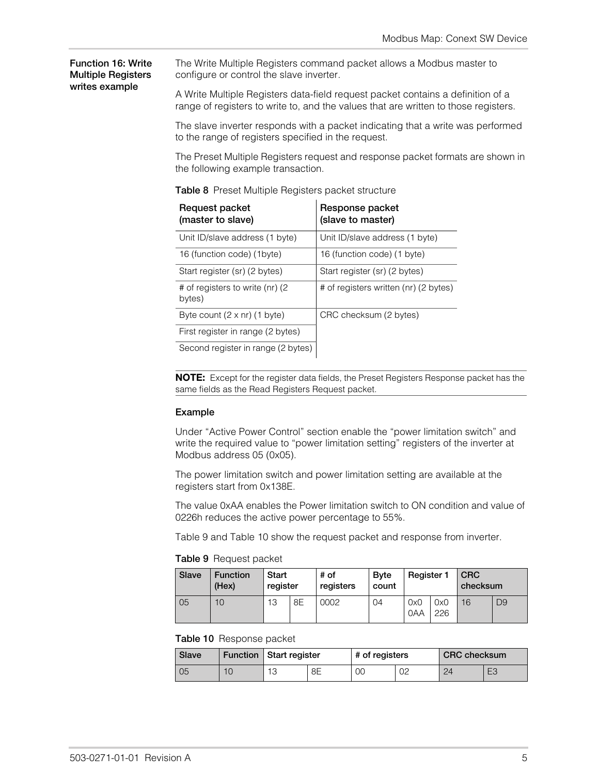#### <span id="page-10-0"></span>**Function 16: Write Multiple Registers writes example**

The Write Multiple Registers command packet allows a Modbus master to configure or control the slave inverter.

A Write Multiple Registers data-field request packet contains a definition of a range of registers to write to, and the values that are written to those registers.

The slave inverter responds with a packet indicating that a write was performed to the range of registers specified in the request.

The Preset Multiple Registers request and response packet formats are shown in the following example transaction.

| Request packet<br>(master to slave)       | Response packet<br>(slave to master)  |
|-------------------------------------------|---------------------------------------|
| Unit ID/slave address (1 byte)            | Unit ID/slave address (1 byte)        |
| 16 (function code) (1byte)                | 16 (function code) (1 byte)           |
| Start register (sr) (2 bytes)             | Start register (sr) (2 bytes)         |
| # of registers to write (nr) (2<br>bytes) | # of registers written (nr) (2 bytes) |
| Byte count $(2 \times nr)$ (1 byte)       | CRC checksum (2 bytes)                |
| First register in range (2 bytes)         |                                       |
| Second register in range (2 bytes)        |                                       |

**Table 8** Preset Multiple Registers packet structure

**NOTE:** Except for the register data fields, the Preset Registers Response packet has the same fields as the Read Registers Request packet.

#### **Example**

Under "Active Power Control" section enable the "power limitation switch" and write the required value to "power limitation setting" registers of the inverter at Modbus address 05 (0x05).

The power limitation switch and power limitation setting are available at the registers start from 0x138E.

The value 0xAA enables the Power limitation switch to ON condition and value of [0226h](#page-10-1) [r](#page-10-1)edu[ces](#page-10-2) [the](#page-10-2) [ac](#page-10-2)tive power percentage to 55%.

<span id="page-10-1"></span>Table 9 and Table 10 show the request packet and response from inverter.

**Table 9** Request packet

| Slave | <b>Function</b><br>(Hex) | Start<br>register |    | # of<br>registers | <b>B</b> vte<br>count | Register 1 |            | <b>CRC</b><br>checksum |    |
|-------|--------------------------|-------------------|----|-------------------|-----------------------|------------|------------|------------------------|----|
| 05    | 10                       | 13                | 8E | 0002              | 04                    | 0x0<br>0AA | 0x0<br>226 | 16                     | D9 |

#### <span id="page-10-2"></span>**Table 10** Response packet

| Slave |   | Function   Start register      |    | # of registers |    | <b>CRC</b> checksum |   |
|-------|---|--------------------------------|----|----------------|----|---------------------|---|
| 05    | U | 10<br>$\overline{\phantom{a}}$ | 8Ε | 00             | 02 | 24                  | ◡ |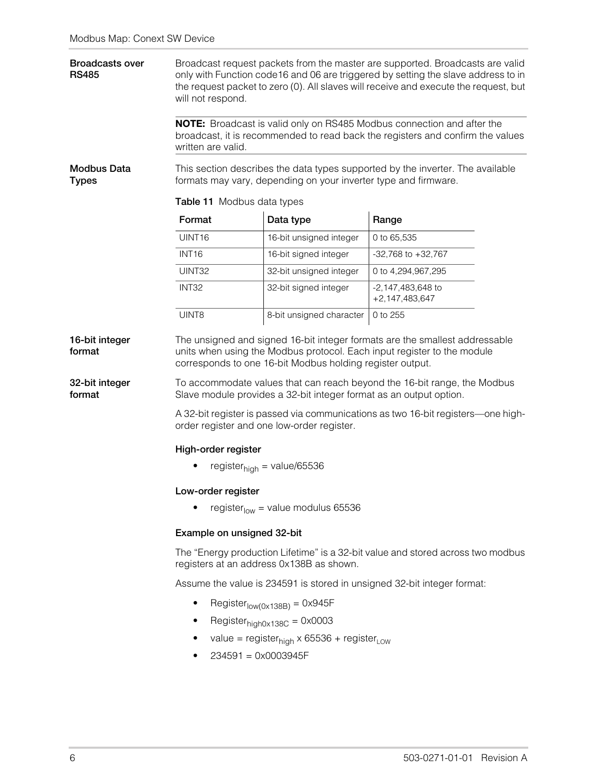| <b>Broadcasts over</b><br><b>RS485</b>               | Broadcast request packets from the master are supported. Broadcasts are valid<br>only with Function code16 and 06 are triggered by setting the slave address to in<br>the request packet to zero (0). All slaves will receive and execute the request, but<br>will not respond. |                                                                                                                                 |                                                                                                                                                                                                                                    |  |  |  |  |
|------------------------------------------------------|---------------------------------------------------------------------------------------------------------------------------------------------------------------------------------------------------------------------------------------------------------------------------------|---------------------------------------------------------------------------------------------------------------------------------|------------------------------------------------------------------------------------------------------------------------------------------------------------------------------------------------------------------------------------|--|--|--|--|
|                                                      | written are valid.                                                                                                                                                                                                                                                              |                                                                                                                                 | NOTE: Broadcast is valid only on RS485 Modbus connection and after the<br>broadcast, it is recommended to read back the registers and confirm the values                                                                           |  |  |  |  |
| Modbus Data<br><b>Types</b>                          | Table 11 Modbus data types                                                                                                                                                                                                                                                      | formats may vary, depending on your inverter type and firmware.                                                                 | This section describes the data types supported by the inverter. The available                                                                                                                                                     |  |  |  |  |
|                                                      | Format                                                                                                                                                                                                                                                                          | Data type                                                                                                                       | Range                                                                                                                                                                                                                              |  |  |  |  |
|                                                      | UINT16                                                                                                                                                                                                                                                                          | 16-bit unsigned integer                                                                                                         | 0 to 65,535                                                                                                                                                                                                                        |  |  |  |  |
|                                                      | <b>INT16</b>                                                                                                                                                                                                                                                                    | 16-bit signed integer                                                                                                           | $-32,768$ to $+32,767$                                                                                                                                                                                                             |  |  |  |  |
|                                                      | UINT32                                                                                                                                                                                                                                                                          | 32-bit unsigned integer                                                                                                         | 0 to 4,294,967,295                                                                                                                                                                                                                 |  |  |  |  |
|                                                      | INT32                                                                                                                                                                                                                                                                           | 32-bit signed integer                                                                                                           | -2,147,483,648 to<br>$+2,147,483,647$                                                                                                                                                                                              |  |  |  |  |
|                                                      | UINT8                                                                                                                                                                                                                                                                           | 8-bit unsigned character                                                                                                        | 0 to 255                                                                                                                                                                                                                           |  |  |  |  |
| 16-bit integer<br>format<br>32-bit integer<br>format |                                                                                                                                                                                                                                                                                 | corresponds to one 16-bit Modbus holding register output.<br>Slave module provides a 32-bit integer format as an output option. | The unsigned and signed 16-bit integer formats are the smallest addressable<br>units when using the Modbus protocol. Each input register to the module<br>To accommodate values that can reach beyond the 16-bit range, the Modbus |  |  |  |  |
|                                                      | A 32-bit register is passed via communications as two 16-bit registers—one high-<br>order register and one low-order register.                                                                                                                                                  |                                                                                                                                 |                                                                                                                                                                                                                                    |  |  |  |  |
|                                                      | High-order register                                                                                                                                                                                                                                                             |                                                                                                                                 |                                                                                                                                                                                                                                    |  |  |  |  |
|                                                      | register $_{\text{high}}$ = value/65536                                                                                                                                                                                                                                         |                                                                                                                                 |                                                                                                                                                                                                                                    |  |  |  |  |
|                                                      | Low-order register                                                                                                                                                                                                                                                              |                                                                                                                                 |                                                                                                                                                                                                                                    |  |  |  |  |
|                                                      | register <sub>low</sub> = value modulus 65536                                                                                                                                                                                                                                   |                                                                                                                                 |                                                                                                                                                                                                                                    |  |  |  |  |
|                                                      | Example on unsigned 32-bit                                                                                                                                                                                                                                                      |                                                                                                                                 |                                                                                                                                                                                                                                    |  |  |  |  |
|                                                      | The "Energy production Lifetime" is a 32-bit value and stored across two modbus<br>registers at an address 0x138B as shown.                                                                                                                                                     |                                                                                                                                 |                                                                                                                                                                                                                                    |  |  |  |  |
|                                                      | Assume the value is 234591 is stored in unsigned 32-bit integer format:                                                                                                                                                                                                         |                                                                                                                                 |                                                                                                                                                                                                                                    |  |  |  |  |
|                                                      | $\bullet$<br>$Registerlow(0x138B) = 0x945F$                                                                                                                                                                                                                                     |                                                                                                                                 |                                                                                                                                                                                                                                    |  |  |  |  |
|                                                      | $\bullet$                                                                                                                                                                                                                                                                       | Register $_{\text{hidh0x138C}}$ = 0x0003                                                                                        |                                                                                                                                                                                                                                    |  |  |  |  |
|                                                      |                                                                                                                                                                                                                                                                                 | value = register <sub>high</sub> x 65536 + register <sub>LOW</sub>                                                              |                                                                                                                                                                                                                                    |  |  |  |  |
|                                                      | $234591 = 0 \times 0003945F$<br>٠                                                                                                                                                                                                                                               |                                                                                                                                 |                                                                                                                                                                                                                                    |  |  |  |  |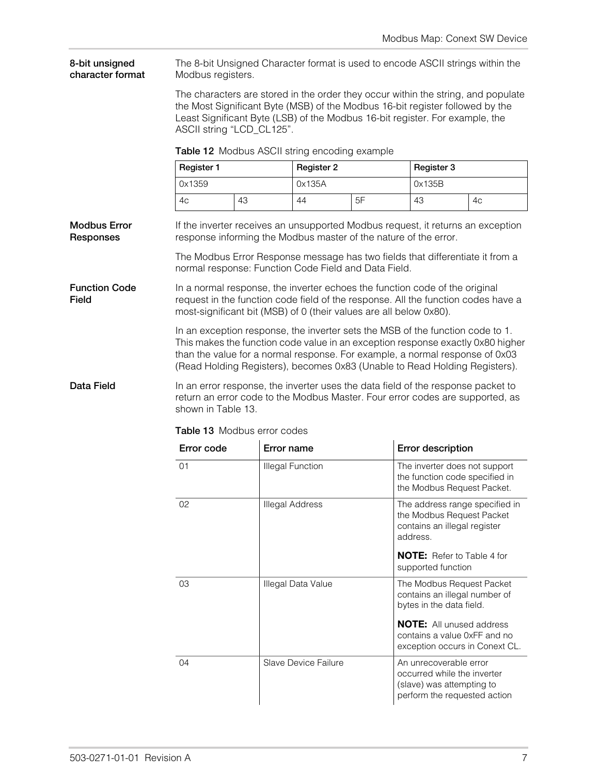**8-bit unsigned character format** The 8-bit Unsigned Character format is used to encode ASCII strings within the Modbus registers.

> The characters are stored in the order they occur within the string, and populate the Most Significant Byte (MSB) of the Modbus 16-bit register followed by the Least Significant Byte (LSB) of the Modbus 16-bit register. For example, the ASCII string "LCD\_CL125".

|  |  |  |  | Table 12 Modbus ASCII string encoding example |  |
|--|--|--|--|-----------------------------------------------|--|
|--|--|--|--|-----------------------------------------------|--|

| Register 1<br>Register 2 |    |        | Register 3 |        |    |  |
|--------------------------|----|--------|------------|--------|----|--|
| 0x1359                   |    | 0x135A |            | 0x135B |    |  |
| 4c                       | 43 | 44     | 5F         | 43     | 4c |  |

**Modbus Error Responses** If the inverter receives an unsupported Modbus request, it returns an exception response informing the Modbus master of the nature of the error.

> The Modbus Error Response message has two fields that differentiate it from a normal response: Function Code Field and Data Field.

**Function Code Field** In a normal response, the inverter echoes the function code of the original request in the function code field of the response. All the function codes have a most-significant bit (MSB) of 0 (their values are all below 0x80).

> In an exception response, the inverter sets the MSB of the function code to 1. This makes the function code value in an exception response exactly 0x80 higher than the value for a normal response. For example, a normal response of 0x03 (Read Holding Registers), becomes 0x83 (Unable to Read Holding Registers).

<span id="page-12-0"></span>**Data Field** In an err[or respons](#page-12-0)e, the inverter uses the data field of the response packet to return an error code to the Modbus Master. Four error codes are supported, as shown in Table 13.

| Error code | Error name              | <b>Error description</b>                                                                                           |
|------------|-------------------------|--------------------------------------------------------------------------------------------------------------------|
| 01         | <b>Illegal Function</b> | The inverter does not support<br>the function code specified in<br>the Modbus Request Packet.                      |
| 02         | <b>Illegal Address</b>  | The address range specified in<br>the Modbus Request Packet<br>contains an illegal register<br>address.            |
|            |                         | <b>NOTE:</b> Refer to Table 4 for<br>supported function                                                            |
| 03         | Illegal Data Value      | The Modbus Request Packet<br>contains an illegal number of<br>bytes in the data field.                             |
|            |                         | <b>NOTE:</b> All unused address<br>contains a value 0xFF and no<br>exception occurs in Conext CL.                  |
| 04         | Slave Device Failure    | An unrecoverable error<br>occurred while the inverter<br>(slave) was attempting to<br>perform the requested action |

**Table 13** Modbus error codes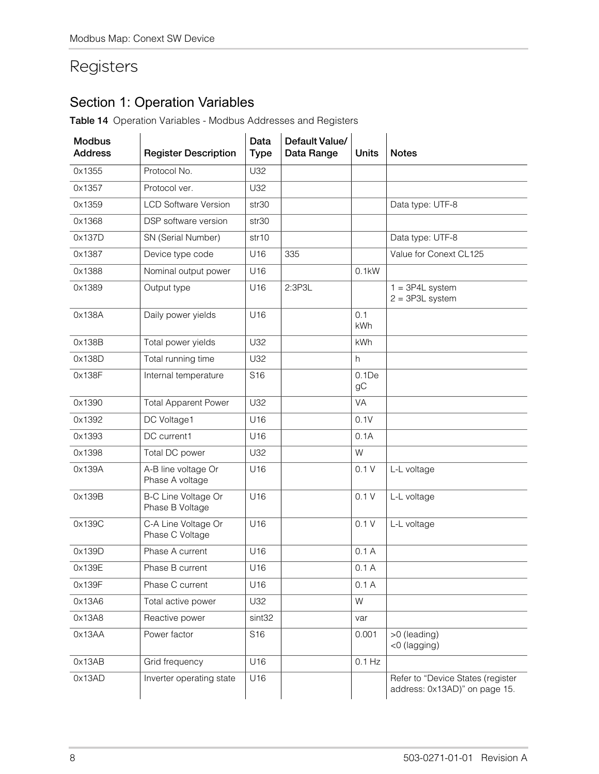## Registers

### Section 1: Operation Variables

**Table 14** Operation Variables - Modbus Addresses and Registers

| <b>Modbus</b><br><b>Address</b> | <b>Register Description</b>                   | Data<br><b>Type</b> | Default Value/<br>Data Range | <b>Units</b>      | <b>Notes</b>                                                       |
|---------------------------------|-----------------------------------------------|---------------------|------------------------------|-------------------|--------------------------------------------------------------------|
| 0x1355                          | Protocol No.                                  | U32                 |                              |                   |                                                                    |
| 0x1357                          | Protocol ver.                                 | U32                 |                              |                   |                                                                    |
| 0x1359                          | <b>LCD Software Version</b>                   | str <sub>30</sub>   |                              |                   | Data type: UTF-8                                                   |
| 0x1368                          | DSP software version                          | str30               |                              |                   |                                                                    |
| 0x137D                          | SN (Serial Number)                            | str10               |                              |                   | Data type: UTF-8                                                   |
| 0x1387                          | Device type code                              | U16                 | 335                          |                   | Value for Conext CL125                                             |
| 0x1388                          | Nominal output power                          | U16                 |                              | 0.1kW             |                                                                    |
| 0x1389                          | Output type                                   | U16                 | 2:3P3L                       |                   | $1 = 3P4L$ system<br>$2 = 3P3L$ system                             |
| 0x138A                          | Daily power yields                            | U16                 |                              | 0.1<br><b>kWh</b> |                                                                    |
| 0x138B                          | Total power yields                            | U32                 |                              | <b>kWh</b>        |                                                                    |
| 0x138D                          | Total running time                            | U32                 |                              | h                 |                                                                    |
| 0x138F                          | Internal temperature                          | S <sub>16</sub>     |                              | 0.1De<br>gC       |                                                                    |
| 0x1390                          | <b>Total Apparent Power</b>                   | U32                 |                              | VA                |                                                                    |
| 0x1392                          | DC Voltage1                                   | U16                 |                              | 0.1V              |                                                                    |
| 0x1393                          | DC current1                                   | U16                 |                              | 0.1A              |                                                                    |
| 0x1398                          | Total DC power                                | U32                 |                              | W                 |                                                                    |
| 0x139A                          | A-B line voltage Or<br>Phase A voltage        | U16                 |                              | 0.1V              | L-L voltage                                                        |
| 0x139B                          | <b>B-C Line Voltage Or</b><br>Phase B Voltage | U16                 |                              | 0.1V              | L-L voltage                                                        |
| 0x139C                          | C-A Line Voltage Or<br>Phase C Voltage        | U16                 |                              | 0.1V              | L-L voltage                                                        |
| 0x139D                          | Phase A current                               | U16                 |                              | 0.1A              |                                                                    |
| 0x139E                          | Phase B current                               | U16                 |                              | 0.1A              |                                                                    |
| 0x139F                          | Phase C current                               | U16                 |                              | 0.1A              |                                                                    |
| 0x13A6                          | Total active power                            | U32                 |                              | W                 |                                                                    |
| 0x13A8                          | Reactive power                                | sint <sub>32</sub>  |                              | var               |                                                                    |
| 0x13AA                          | Power factor                                  | S16                 |                              | 0.001             | >0 (leading)<br><0 (lagging)                                       |
| 0x13AB                          | Grid frequency                                | U16                 |                              | $0.1$ Hz          |                                                                    |
| 0x13AD                          | Inverter operating state                      | U16                 |                              |                   | Refer to "Device States (register<br>address: 0x13AD)" on page 15. |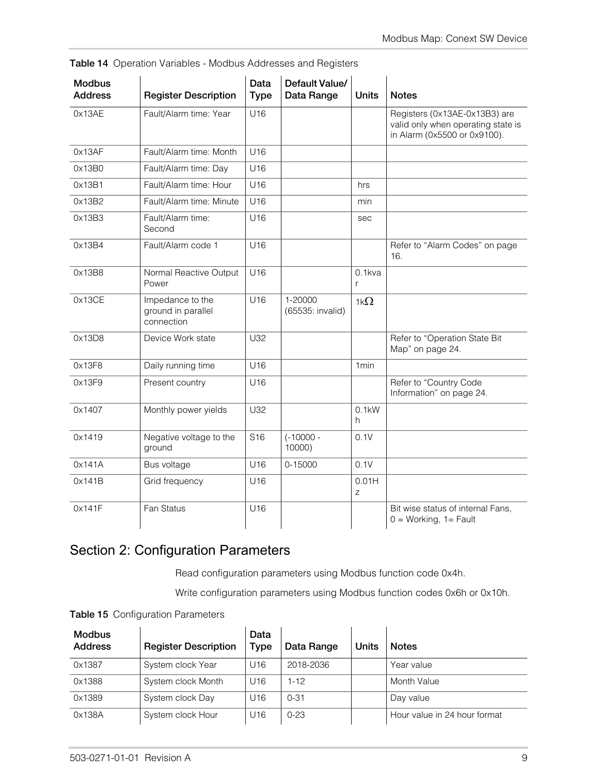| <b>Modbus</b><br><b>Address</b> | <b>Register Description</b>                          | Data<br><b>Type</b> | Default Value/<br>Data Range | <b>Units</b>     | <b>Notes</b>                                                                                        |
|---------------------------------|------------------------------------------------------|---------------------|------------------------------|------------------|-----------------------------------------------------------------------------------------------------|
| 0x13AE                          | Fault/Alarm time: Year                               | U16                 |                              |                  | Registers (0x13AE-0x13B3) are<br>valid only when operating state is<br>in Alarm (0x5500 or 0x9100). |
| 0x13AF                          | Fault/Alarm time: Month                              | U16                 |                              |                  |                                                                                                     |
| 0x13B0                          | Fault/Alarm time: Day                                | U16                 |                              |                  |                                                                                                     |
| 0x13B1                          | Fault/Alarm time: Hour                               | U16                 |                              | hrs              |                                                                                                     |
| 0x13B2                          | Fault/Alarm time: Minute                             | U16                 |                              | min              |                                                                                                     |
| 0x13B3                          | Fault/Alarm time:<br>Second                          | U16                 |                              | sec              |                                                                                                     |
| 0x13B4                          | Fault/Alarm code 1                                   | U16                 |                              |                  | Refer to "Alarm Codes" on page<br>16.                                                               |
| 0x13B8                          | Normal Reactive Output<br>Power                      | U16                 |                              | $0.1$ kva<br>r   |                                                                                                     |
| 0x13CE                          | Impedance to the<br>ground in parallel<br>connection | U16                 | 1-20000<br>(65535: invalid)  | 1k $\Omega$      |                                                                                                     |
| 0x13D8                          | Device Work state                                    | U32                 |                              |                  | Refer to "Operation State Bit<br>Map" on page 24.                                                   |
| 0x13F8                          | Daily running time                                   | U16                 |                              | 1 <sub>min</sub> |                                                                                                     |
| 0x13F9                          | Present country                                      | U16                 |                              |                  | Refer to "Country Code<br>Information" on page 24.                                                  |
| 0x1407                          | Monthly power yields                                 | U32                 |                              | 0.1kW<br>h.      |                                                                                                     |
| 0x1419                          | Negative voltage to the<br>ground                    | S <sub>16</sub>     | $(-10000 -$<br>10000)        | 0.1V             |                                                                                                     |
| 0x141A                          | Bus voltage                                          | U16                 | 0-15000                      | 0.1V             |                                                                                                     |
| 0x141B                          | Grid frequency                                       | U16                 |                              | 0.01H<br>Z       |                                                                                                     |
| 0x141F                          | Fan Status                                           | U16                 |                              |                  | Bit wise status of internal Fans,<br>$0 = Working, 1 = Fault$                                       |

**Table 14** Operation Variables - Modbus Addresses and Registers

### Section 2: Configuration Parameters

Read configuration parameters using Modbus function code 0x4h.

Write configuration parameters using Modbus function codes 0x6h or 0x10h.

**Table 15** Configuration Parameters

| <b>Modbus</b><br><b>Address</b> | <b>Register Description</b> | Data<br><b>Type</b> | Data Range | Units | <b>Notes</b>                 |
|---------------------------------|-----------------------------|---------------------|------------|-------|------------------------------|
| 0x1387                          | System clock Year           | U <sub>16</sub>     | 2018-2036  |       | Year value                   |
| 0x1388                          | System clock Month          | U16                 | $1 - 12$   |       | Month Value                  |
| 0x1389                          | System clock Day            | U16                 | $0 - 31$   |       | Day value                    |
| 0x138A                          | System clock Hour           | U16                 | $0 - 23$   |       | Hour value in 24 hour format |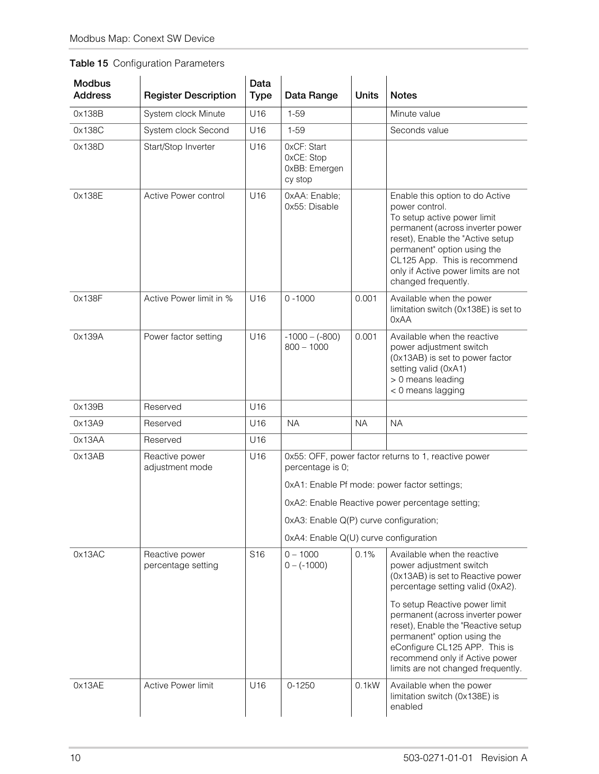### **Table 15** Configuration Parameters

| <b>Modbus</b><br><b>Address</b> | <b>Register Description</b>          | Data<br><b>Type</b> | Data Range                                            | <b>Units</b> | <b>Notes</b>                                                                                                                                                                                                                                                                          |
|---------------------------------|--------------------------------------|---------------------|-------------------------------------------------------|--------------|---------------------------------------------------------------------------------------------------------------------------------------------------------------------------------------------------------------------------------------------------------------------------------------|
| 0x138B                          | System clock Minute                  | U16                 | $1 - 59$                                              |              | Minute value                                                                                                                                                                                                                                                                          |
| 0x138C                          | System clock Second                  | U16                 | $1 - 59$                                              |              | Seconds value                                                                                                                                                                                                                                                                         |
| 0x138D                          | Start/Stop Inverter                  | U16                 | OxCF: Start<br>OxCE: Stop<br>0xBB: Emergen<br>cy stop |              |                                                                                                                                                                                                                                                                                       |
| 0x138E                          | Active Power control                 | U16                 | OxAA: Enable;<br>0x55: Disable                        |              | Enable this option to do Active<br>power control.<br>To setup active power limit<br>permanent (across inverter power<br>reset), Enable the "Active setup<br>permanent" option using the<br>CL125 App. This is recommend<br>only if Active power limits are not<br>changed frequently. |
| 0x138F                          | Active Power limit in %              | U <sub>16</sub>     | $0 - 1000$                                            | 0.001        | Available when the power<br>limitation switch (0x138E) is set to<br>0xAA                                                                                                                                                                                                              |
| 0x139A                          | Power factor setting                 | U16                 | $-1000 - (-800)$<br>$800 - 1000$                      | 0.001        | Available when the reactive<br>power adjustment switch<br>(0x13AB) is set to power factor<br>setting valid (0xA1)<br>> 0 means leading<br>< 0 means lagging                                                                                                                           |
| 0x139B                          | Reserved                             | U16                 |                                                       |              |                                                                                                                                                                                                                                                                                       |
| 0x13A9                          | Reserved                             | U16                 | <b>NA</b>                                             | <b>NA</b>    | <b>NA</b>                                                                                                                                                                                                                                                                             |
| 0x13AA                          | Reserved                             | U16                 |                                                       |              |                                                                                                                                                                                                                                                                                       |
| 0x13AB                          | Reactive power<br>adjustment mode    | U16                 | percentage is 0;                                      |              | 0x55: OFF, power factor returns to 1, reactive power                                                                                                                                                                                                                                  |
|                                 |                                      |                     |                                                       |              | 0xA1: Enable Pf mode: power factor settings;                                                                                                                                                                                                                                          |
|                                 |                                      |                     |                                                       |              | 0xA2: Enable Reactive power percentage setting;                                                                                                                                                                                                                                       |
|                                 |                                      |                     | 0xA3: Enable Q(P) curve configuration;                |              |                                                                                                                                                                                                                                                                                       |
|                                 |                                      |                     | 0xA4: Enable Q(U) curve configuration                 |              |                                                                                                                                                                                                                                                                                       |
| 0x13AC                          | Reactive power<br>percentage setting | S <sub>16</sub>     | $0 - 1000$<br>$0 - (-1000)$                           | 0.1%         | Available when the reactive<br>power adjustment switch<br>(0x13AB) is set to Reactive power<br>percentage setting valid (0xA2).                                                                                                                                                       |
|                                 |                                      |                     |                                                       |              | To setup Reactive power limit<br>permanent (across inverter power<br>reset), Enable the "Reactive setup<br>permanent" option using the<br>eConfigure CL125 APP. This is<br>recommend only if Active power<br>limits are not changed frequently.                                       |
| 0x13AE                          | Active Power limit                   | U16                 | $0 - 1250$                                            | $0.1$ kW     | Available when the power<br>limitation switch (0x138E) is<br>enabled                                                                                                                                                                                                                  |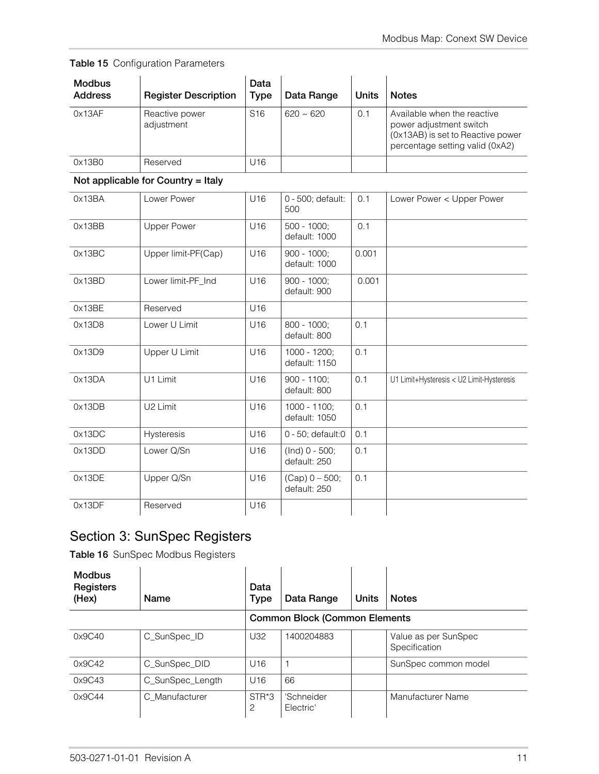| <b>Table 15</b> Configuration Parameters |  |
|------------------------------------------|--|
|                                          |  |

| <b>Modbus</b><br><b>Address</b> | <b>Register Description</b>  | Data<br>Type    | Data Range     | <b>Units</b> | <b>Notes</b>                                                                                                                   |
|---------------------------------|------------------------------|-----------------|----------------|--------------|--------------------------------------------------------------------------------------------------------------------------------|
| 0x13AF                          | Reactive power<br>adjustment | S <sub>16</sub> | $620 \sim 620$ | 0.1          | Available when the reactive<br>power adjustment switch<br>(0x13AB) is set to Reactive power<br>percentage setting valid (0xA2) |
| 0x13B0                          | Reserved                     | U16             |                |              |                                                                                                                                |

#### **Not applicable for Country = Italy**

| 0x13BA | Lower Power          | U16             | 0 - 500; default:<br>500         | 0.1   | Lower Power < Upper Power                 |
|--------|----------------------|-----------------|----------------------------------|-------|-------------------------------------------|
| 0x13BB | <b>Upper Power</b>   | U16             | $500 - 1000$ ;<br>default: 1000  | 0.1   |                                           |
| 0x13BC | Upper limit-PF(Cap)  | U16             | $900 - 1000$ ;<br>default: 1000  | 0.001 |                                           |
| 0x13BD | Lower limit-PF_Ind   | U16             | $900 - 1000;$<br>default: 900    | 0.001 |                                           |
| 0x13BE | Reserved             | U16             |                                  |       |                                           |
| 0x13D8 | Lower U Limit        | U16             | $800 - 1000$ ;<br>default: 800   | 0.1   |                                           |
| 0x13D9 | Upper U Limit        | U16             | 1000 - 1200;<br>default: 1150    | 0.1   |                                           |
| 0x13DA | U1 Limit             | U16             | $900 - 1100;$<br>default: 800    | 0.1   | U1 Limit+Hysteresis < U2 Limit-Hysteresis |
| 0x13DB | U <sub>2</sub> Limit | U16             | 1000 - 1100;<br>default: 1050    | 0.1   |                                           |
| 0x13DC | Hysteresis           | U <sub>16</sub> | $0 - 50$ ; default:0             | 0.1   |                                           |
| 0x13DD | Lower Q/Sn           | U16             | $(Ind) 0 - 500;$<br>default: 250 | 0.1   |                                           |
| 0x13DE | Upper Q/Sn           | U16             | $(Cap) 0 - 500;$<br>default: 250 | 0.1   |                                           |
| 0x13DF | Reserved             | U16             |                                  |       |                                           |

### Section 3: SunSpec Registers

| <b>Modbus</b><br>Registers<br>(Hex) | Name             | Data<br><b>Type</b> | Data Range                           | <b>Units</b> | <b>Notes</b>                          |
|-------------------------------------|------------------|---------------------|--------------------------------------|--------------|---------------------------------------|
|                                     |                  |                     | <b>Common Block (Common Elements</b> |              |                                       |
| 0x9C40                              | C_SunSpec_ID     | U32                 | 1400204883                           |              | Value as per SunSpec<br>Specification |
| 0x9C42                              | C_SunSpec_DID    | U16                 |                                      |              | SunSpec common model                  |
| 0x9C43                              | C_SunSpec_Length | U16                 | 66                                   |              |                                       |
| 0x9C44                              | C Manufacturer   | STR*3<br>2          | 'Schneider<br>Electric'              |              | Manufacturer Name                     |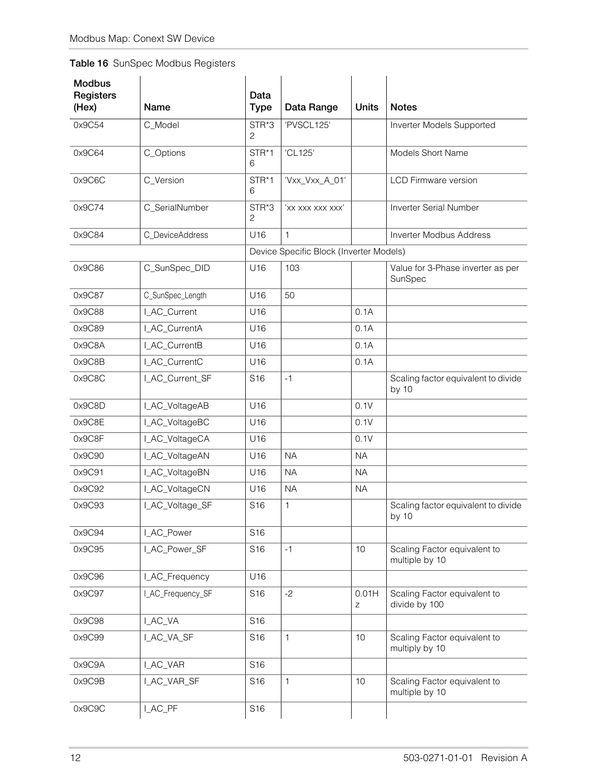| <b>Modbus</b><br>Registers<br>(Hex) | <b>Name</b>       | Data<br><b>Type</b> | Data Range                              | <b>Units</b> | <b>Notes</b>                                   |
|-------------------------------------|-------------------|---------------------|-----------------------------------------|--------------|------------------------------------------------|
| 0x9C54                              | C_Model           | STR*3<br>2          | 'PVSCL125'                              |              | Inverter Models Supported                      |
| 0x9C64                              | C_Options         | STR*1<br>6          | 'CL125'                                 |              | Models Short Name                              |
| 0x9C6C                              | C_Version         | STR*1<br>6          | 'Vxx_Vxx_A_01'                          |              | <b>LCD Firmware version</b>                    |
| 0x9C74                              | C_SerialNumber    | STR*3<br>2          | 'xx xxx xxx xxx'                        |              | Inverter Serial Number                         |
| 0x9C84                              | C_DeviceAddress   | U16                 | 1                                       |              | <b>Inverter Modbus Address</b>                 |
|                                     |                   |                     | Device Specific Block (Inverter Models) |              |                                                |
| 0x9C86                              | C_SunSpec_DID     | U16                 | 103                                     |              | Value for 3-Phase inverter as per<br>SunSpec   |
| 0x9C87                              | C_SunSpec_Length  | U16                 | 50                                      |              |                                                |
| 0x9C88                              | I_AC_Current      | U16                 |                                         | 0.1A         |                                                |
| 0x9C89                              | I_AC_CurrentA     | U16                 |                                         | 0.1A         |                                                |
| 0x9C8A                              | I_AC_CurrentB     | U16                 |                                         | 0.1A         |                                                |
| 0x9C8B                              | I_AC_CurrentC     | U16                 |                                         | 0.1A         |                                                |
| 0x9C8C                              | I_AC_Current_SF   | S <sub>16</sub>     | $-1$                                    |              | Scaling factor equivalent to divide<br>by 10   |
| 0x9C8D                              | I_AC_VoltageAB    | U16                 |                                         | 0.1V         |                                                |
| 0x9C8E                              | I_AC_VoltageBC    | U16                 |                                         | 0.1V         |                                                |
| 0x9C8F                              | I_AC_VoltageCA    | U16                 |                                         | 0.1V         |                                                |
| 0x9C90                              | I_AC_VoltageAN    | U16                 | <b>NA</b>                               | <b>NA</b>    |                                                |
| 0x9C91                              | I_AC_VoltageBN    | U16                 | <b>NA</b>                               | <b>NA</b>    |                                                |
| 0x9C92                              | I_AC_VoltageCN    | U16                 | <b>NA</b>                               | <b>NA</b>    |                                                |
| 0x9C93                              | I_AC_Voltage_SF   | S <sub>16</sub>     | 1                                       |              | Scaling factor equivalent to divide<br>by 10   |
| 0x9C94                              | I_AC_Power        | S16                 |                                         |              |                                                |
| 0x9C95                              | I_AC_Power_SF     | S <sub>16</sub>     | $-1$                                    | 10           | Scaling Factor equivalent to<br>multiple by 10 |
| 0x9C96                              | I_AC_Frequency    | U16                 |                                         |              |                                                |
| 0x9C97                              | I_AC_Frequency_SF | S <sub>16</sub>     | $-2$                                    | 0.01H<br>Ζ   | Scaling Factor equivalent to<br>divide by 100  |
| 0x9C98                              | I_AC_VA           | S <sub>16</sub>     |                                         |              |                                                |
| 0x9C99                              | I_AC_VA_SF        | S <sub>16</sub>     | $\mathbf{1}$                            | 10           | Scaling Factor equivalent to<br>multiply by 10 |
| 0x9C9A                              | I_AC_VAR          | S16                 |                                         |              |                                                |
| 0x9C9B                              | I_AC_VAR_SF       | S <sub>16</sub>     | 1                                       | 10           | Scaling Factor equivalent to<br>multiple by 10 |
| 0x9C9C                              | I_AC_PF           | S16                 |                                         |              |                                                |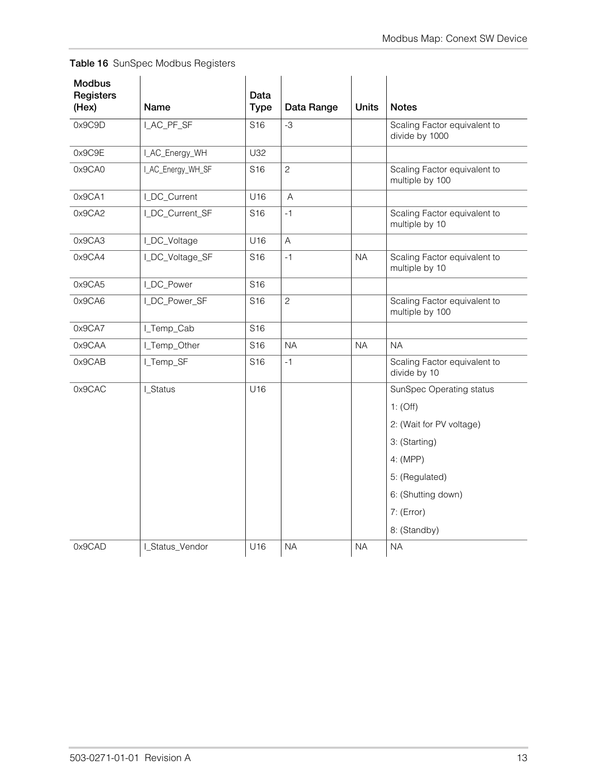| <b>Modbus</b><br>Registers<br>(Hex) | Name              | Data<br><b>Type</b> | Data Range     | <b>Units</b> | <b>Notes</b>                                    |
|-------------------------------------|-------------------|---------------------|----------------|--------------|-------------------------------------------------|
| 0x9C9D                              | I_AC_PF_SF        | S <sub>16</sub>     | $-3$           |              | Scaling Factor equivalent to<br>divide by 1000  |
| 0x9C9E                              | I_AC_Energy_WH    | U32                 |                |              |                                                 |
| 0x9CA0                              | I_AC_Energy_WH_SF | S <sub>16</sub>     | $\overline{c}$ |              | Scaling Factor equivalent to<br>multiple by 100 |
| 0x9CA1                              | I_DC_Current      | U16                 | $\mathsf A$    |              |                                                 |
| 0x9CA2                              | I_DC_Current_SF   | S <sub>16</sub>     | $-1$           |              | Scaling Factor equivalent to<br>multiple by 10  |
| 0x9CA3                              | I_DC_Voltage      | U16                 | $\overline{A}$ |              |                                                 |
| 0x9CA4                              | I_DC_Voltage_SF   | S <sub>16</sub>     | $-1$           | <b>NA</b>    | Scaling Factor equivalent to<br>multiple by 10  |
| 0x9CA5                              | I_DC_Power        | S <sub>16</sub>     |                |              |                                                 |
| 0x9CA6                              | I_DC_Power_SF     | S <sub>16</sub>     | $\overline{c}$ |              | Scaling Factor equivalent to<br>multiple by 100 |
| 0x9CA7                              | I_Temp_Cab        | S <sub>16</sub>     |                |              |                                                 |
| 0x9CAA                              | I_Temp_Other      | S <sub>16</sub>     | <b>NA</b>      | <b>NA</b>    | NA.                                             |
| 0x9CAB                              | I_Temp_SF         | S <sub>16</sub>     | $-1$           |              | Scaling Factor equivalent to<br>divide by 10    |
| 0x9CAC                              | I_Status          | U16                 |                |              | SunSpec Operating status                        |
|                                     |                   |                     |                |              | $1:$ (Off)                                      |
|                                     |                   |                     |                |              | 2: (Wait for PV voltage)                        |
|                                     |                   |                     |                |              | 3: (Starting)                                   |
|                                     |                   |                     |                |              | 4: (MPP)                                        |
|                                     |                   |                     |                |              | 5: (Regulated)                                  |
|                                     |                   |                     |                |              | 6: (Shutting down)                              |
|                                     |                   |                     |                |              | 7: (Error)                                      |
|                                     |                   |                     |                |              | 8: (Standby)                                    |
| 0x9CAD                              | I_Status_Vendor   | U16                 | <b>NA</b>      | <b>NA</b>    | <b>NA</b>                                       |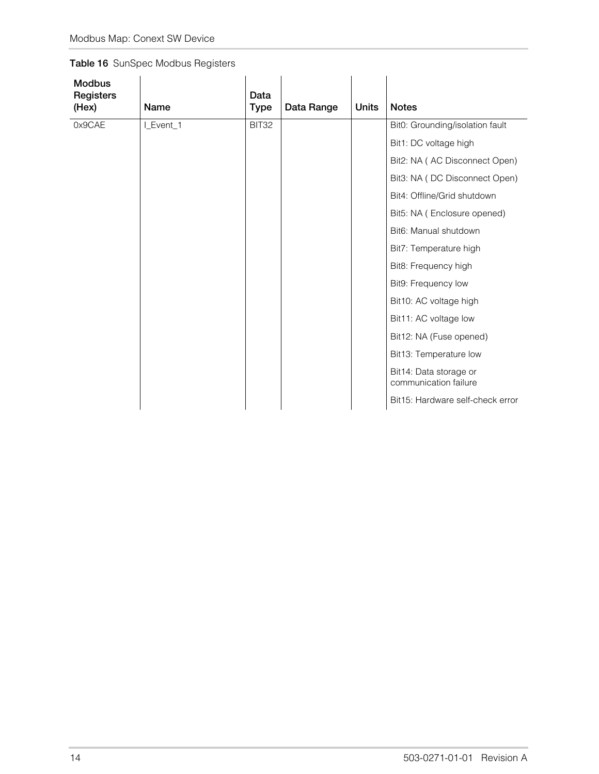| <b>Modbus</b><br>Registers<br>(Hex) | Name      | Data<br><b>Type</b> | Data Range | <b>Units</b> | <b>Notes</b>                                    |
|-------------------------------------|-----------|---------------------|------------|--------------|-------------------------------------------------|
| 0x9CAE                              | I_Event_1 | BIT32               |            |              | Bit0: Grounding/isolation fault                 |
|                                     |           |                     |            |              | Bit1: DC voltage high                           |
|                                     |           |                     |            |              | Bit2: NA (AC Disconnect Open)                   |
|                                     |           |                     |            |              | Bit3: NA (DC Disconnect Open)                   |
|                                     |           |                     |            |              | Bit4: Offline/Grid shutdown                     |
|                                     |           |                     |            |              | Bit5: NA (Enclosure opened)                     |
|                                     |           |                     |            |              | Bit6: Manual shutdown                           |
|                                     |           |                     |            |              | Bit7: Temperature high                          |
|                                     |           |                     |            |              | Bit8: Frequency high                            |
|                                     |           |                     |            |              | Bit9: Frequency low                             |
|                                     |           |                     |            |              | Bit10: AC voltage high                          |
|                                     |           |                     |            |              | Bit11: AC voltage low                           |
|                                     |           |                     |            |              | Bit12: NA (Fuse opened)                         |
|                                     |           |                     |            |              | Bit13: Temperature low                          |
|                                     |           |                     |            |              | Bit14: Data storage or<br>communication failure |
|                                     |           |                     |            |              | Bit15: Hardware self-check error                |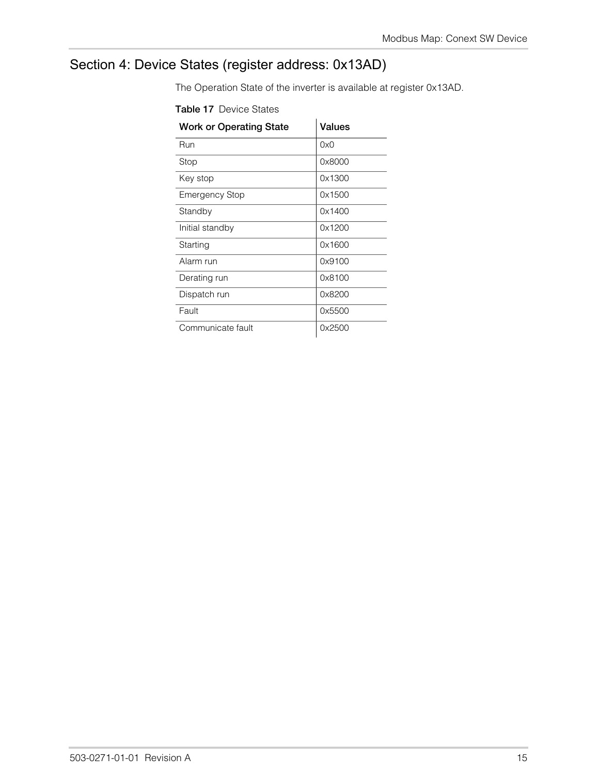### <span id="page-20-0"></span>Section 4: Device States (register address: 0x13AD)

The Operation State of the inverter is available at register 0x13AD.

| <b>Work or Operating State</b> | <b>Values</b> |
|--------------------------------|---------------|
| Run                            | 0x0           |
| Stop                           | 0x8000        |
| Key stop                       | 0x1300        |
| <b>Emergency Stop</b>          | 0x1500        |
| Standby                        | 0x1400        |
| Initial standby                | 0x1200        |
| Starting                       | 0x1600        |
| Alarm run                      | 0x9100        |
| Derating run                   | 0x8100        |
| Dispatch run                   | 0x8200        |
| Fault                          | 0x5500        |
| Communicate fault              | 0x2500        |

**Table 17** Device States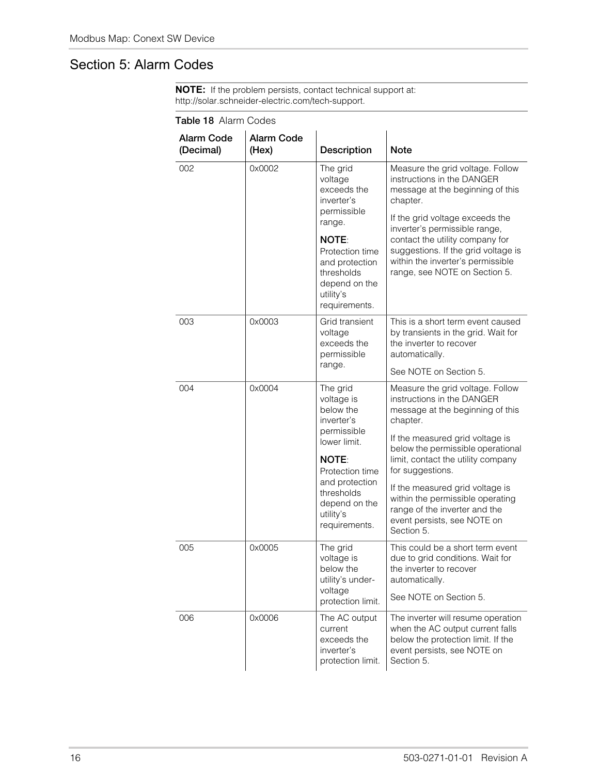### Section 5: Alarm Codes

| <b>NOTE:</b> If the problem persists, contact technical support at: |  |
|---------------------------------------------------------------------|--|
| http://solar.schneider-electric.com/tech-support.                   |  |

| <b>I QUIC TO AIGHT COUCS</b> |                            |                                                                                                                                                                                                    |                                                                                                                                                                                                                                                                                                                                                                                                       |  |  |
|------------------------------|----------------------------|----------------------------------------------------------------------------------------------------------------------------------------------------------------------------------------------------|-------------------------------------------------------------------------------------------------------------------------------------------------------------------------------------------------------------------------------------------------------------------------------------------------------------------------------------------------------------------------------------------------------|--|--|
| Alarm Code<br>(Decimal)      | <b>Alarm Code</b><br>(Hex) | <b>Description</b>                                                                                                                                                                                 | <b>Note</b>                                                                                                                                                                                                                                                                                                                                                                                           |  |  |
| 002                          | 0x0002                     | The grid<br>voltage<br>exceeds the<br>inverter's<br>permissible<br>range.<br><b>NOTE:</b><br>Protection time<br>and protection<br>thresholds<br>depend on the<br>utility's<br>requirements.        | Measure the grid voltage. Follow<br>instructions in the DANGER<br>message at the beginning of this<br>chapter.<br>If the grid voltage exceeds the<br>inverter's permissible range,<br>contact the utility company for<br>suggestions. If the grid voltage is<br>within the inverter's permissible<br>range, see NOTE on Section 5.                                                                    |  |  |
| 003                          | 0x0003                     | Grid transient<br>voltage<br>exceeds the<br>permissible<br>range.                                                                                                                                  | This is a short term event caused<br>by transients in the grid. Wait for<br>the inverter to recover<br>automatically.<br>See NOTE on Section 5.                                                                                                                                                                                                                                                       |  |  |
| 004                          | 0x0004                     | The grid<br>voltage is<br>below the<br>inverter's<br>permissible<br>lower limit.<br><b>NOTE:</b><br>Protection time<br>and protection<br>thresholds<br>depend on the<br>utility's<br>requirements. | Measure the grid voltage. Follow<br>instructions in the DANGER<br>message at the beginning of this<br>chapter.<br>If the measured grid voltage is<br>below the permissible operational<br>limit, contact the utility company<br>for suggestions.<br>If the measured grid voltage is<br>within the permissible operating<br>range of the inverter and the<br>event persists, see NOTE on<br>Section 5. |  |  |
| 005                          | 0x0005                     | The grid<br>voltage is<br>below the<br>utility's under-<br>voltage<br>protection limit.                                                                                                            | This could be a short term event<br>due to grid conditions. Wait for<br>the inverter to recover<br>automatically.<br>See NOTE on Section 5.                                                                                                                                                                                                                                                           |  |  |
| 006                          | 0x0006                     | The AC output<br>current<br>exceeds the<br>inverter's<br>protection limit.                                                                                                                         | The inverter will resume operation<br>when the AC output current falls<br>below the protection limit. If the<br>event persists, see NOTE on<br>Section 5.                                                                                                                                                                                                                                             |  |  |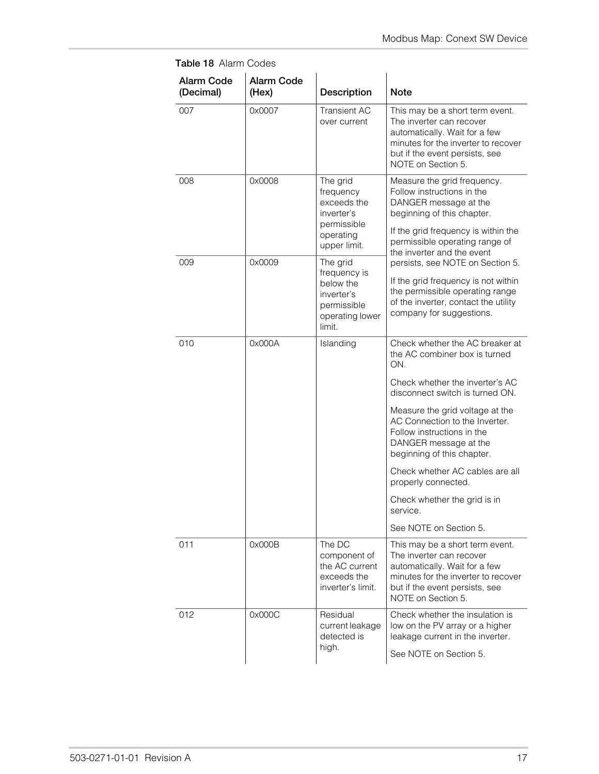| <b>Alarm Code</b><br>(Decimal) | <b>Alarm Code</b><br>(Hex) | Description                                                                                     | <b>Note</b>                                                                                                                                                                                                             |
|--------------------------------|----------------------------|-------------------------------------------------------------------------------------------------|-------------------------------------------------------------------------------------------------------------------------------------------------------------------------------------------------------------------------|
| 007                            | 0x0007                     | <b>Transient AC</b><br>over current                                                             | This may be a short term event.<br>The inverter can recover<br>automatically. Wait for a few<br>minutes for the inverter to recover<br>but if the event persists, see<br>NOTE on Section 5.                             |
| 008                            | 0x0008                     | The grid<br>frequency<br>exceeds the<br>inverter's<br>permissible<br>operating<br>upper limit.  | Measure the grid frequency.<br>Follow instructions in the<br>DANGER message at the<br>beginning of this chapter.<br>If the grid frequency is within the<br>permissible operating range of<br>the inverter and the event |
| 009                            | 0x0009                     | The grid<br>frequency is<br>below the<br>inverter's<br>permissible<br>operating lower<br>limit. | persists, see NOTE on Section 5.<br>If the grid frequency is not within<br>the permissible operating range<br>of the inverter, contact the utility<br>company for suggestions.                                          |
| 010                            | 0x000A                     | Islanding                                                                                       | Check whether the AC breaker at<br>the AC combiner box is turned<br>ON.<br>Check whether the inverter's AC                                                                                                              |
|                                |                            |                                                                                                 | disconnect switch is turned ON.<br>Measure the grid voltage at the<br>AC Connection to the Inverter.<br>Follow instructions in the<br>DANGER message at the<br>beginning of this chapter.                               |
|                                |                            |                                                                                                 | Check whether AC cables are all<br>properly connected.                                                                                                                                                                  |
|                                |                            |                                                                                                 | Check whether the grid is in<br>service.                                                                                                                                                                                |
|                                |                            |                                                                                                 | See NOTE on Section 5.                                                                                                                                                                                                  |
| 011                            | 0x000B                     | The DC<br>component of<br>the AC current<br>exceeds the<br>inverter's limit.                    | This may be a short term event.<br>The inverter can recover<br>automatically. Wait for a few<br>minutes for the inverter to recover<br>but if the event persists, see<br>NOTE on Section 5.                             |
| 012                            | 0x000C                     | Residual<br>current leakage<br>detected is<br>high.                                             | Check whether the insulation is<br>low on the PV array or a higher<br>leakage current in the inverter.<br>See NOTE on Section 5.                                                                                        |

**Table 18** Alarm Codes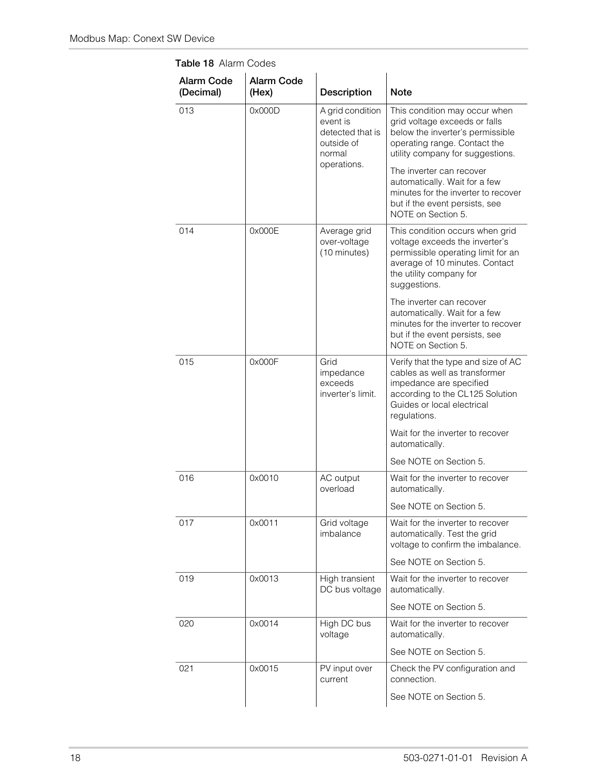| <b>Alarm Code</b><br>(Decimal) | <b>Alarm Code</b><br>(Hex) | Description                                                              | <b>Note</b>                                                                                                                                                                          |
|--------------------------------|----------------------------|--------------------------------------------------------------------------|--------------------------------------------------------------------------------------------------------------------------------------------------------------------------------------|
| 013                            | 0x000D                     | A grid condition<br>event is<br>detected that is<br>outside of<br>normal | This condition may occur when<br>grid voltage exceeds or falls<br>below the inverter's permissible<br>operating range. Contact the<br>utility company for suggestions.               |
|                                |                            | operations.                                                              | The inverter can recover<br>automatically. Wait for a few<br>minutes for the inverter to recover<br>but if the event persists, see<br>NOTE on Section 5.                             |
| 014                            | 0x000E                     | Average grid<br>over-voltage<br>(10 minutes)                             | This condition occurs when grid<br>voltage exceeds the inverter's<br>permissible operating limit for an<br>average of 10 minutes. Contact<br>the utility company for<br>suggestions. |
|                                |                            |                                                                          | The inverter can recover<br>automatically. Wait for a few<br>minutes for the inverter to recover<br>but if the event persists, see<br>NOTE on Section 5.                             |
| 015                            | 0x000F                     | Grid<br>impedance<br>exceeds<br>inverter's limit.                        | Verify that the type and size of AC<br>cables as well as transformer<br>impedance are specified<br>according to the CL125 Solution<br>Guides or local electrical<br>regulations.     |
|                                |                            |                                                                          | Wait for the inverter to recover<br>automatically.                                                                                                                                   |
|                                |                            |                                                                          | See NOTE on Section 5.                                                                                                                                                               |
| 016                            | 0x0010                     | AC output<br>overload                                                    | Wait for the inverter to recover<br>automatically.                                                                                                                                   |
|                                |                            |                                                                          | See NOTE on Section 5.                                                                                                                                                               |
| 017                            | 0x0011                     | Grid voltage<br>imbalance                                                | Wait for the inverter to recover<br>automatically. Test the grid<br>voltage to confirm the imbalance.                                                                                |
|                                |                            |                                                                          | See NOTE on Section 5.                                                                                                                                                               |
| 019                            | 0x0013                     | High transient<br>DC bus voltage                                         | Wait for the inverter to recover<br>automatically.                                                                                                                                   |
|                                |                            |                                                                          | See NOTE on Section 5.                                                                                                                                                               |
| 020                            | 0x0014                     | High DC bus<br>voltage                                                   | Wait for the inverter to recover<br>automatically.                                                                                                                                   |
|                                |                            |                                                                          | See NOTE on Section 5.                                                                                                                                                               |
| 021                            | 0x0015                     | PV input over<br>current                                                 | Check the PV configuration and<br>connection.                                                                                                                                        |
|                                |                            |                                                                          | See NOTE on Section 5.                                                                                                                                                               |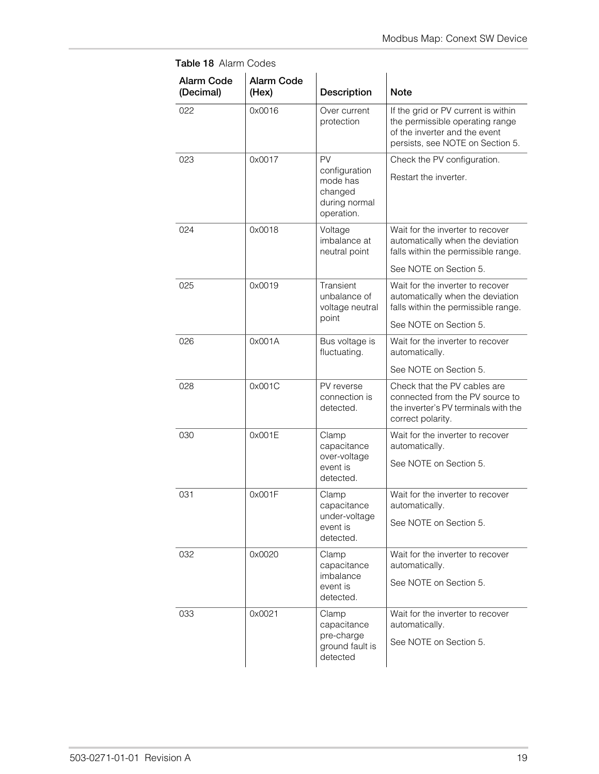| <b>Alarm Code</b><br>(Decimal) | <b>Alarm Code</b><br>(Hex) | Description                                                               | Note                                                                                                                                        |
|--------------------------------|----------------------------|---------------------------------------------------------------------------|---------------------------------------------------------------------------------------------------------------------------------------------|
| 022                            | 0x0016                     | Over current<br>protection                                                | If the grid or PV current is within<br>the permissible operating range<br>of the inverter and the event<br>persists, see NOTE on Section 5. |
| 023                            | 0x0017                     | PV<br>configuration<br>mode has<br>changed<br>during normal<br>operation. | Check the PV configuration.<br>Restart the inverter.                                                                                        |
| 024                            | 0x0018                     | Voltage<br>imbalance at<br>neutral point                                  | Wait for the inverter to recover<br>automatically when the deviation<br>falls within the permissible range.<br>See NOTE on Section 5.       |
| 025                            | 0x0019                     | Transient<br>unbalance of<br>voltage neutral<br>point                     | Wait for the inverter to recover<br>automatically when the deviation<br>falls within the permissible range.<br>See NOTE on Section 5.       |
| 026                            | 0x001A                     | Bus voltage is<br>fluctuating.                                            | Wait for the inverter to recover<br>automatically.<br>See NOTE on Section 5.                                                                |
| 028                            | 0x001C                     | PV reverse<br>connection is<br>detected.                                  | Check that the PV cables are<br>connected from the PV source to<br>the inverter's PV terminals with the<br>correct polarity.                |
| 030                            | 0x001E                     | Clamp<br>capacitance<br>over-voltage<br>event is<br>detected.             | Wait for the inverter to recover<br>automatically.<br>See NOTE on Section 5.                                                                |
| 031                            | 0x001F                     | Clamp<br>capacitance<br>under-voltage<br>event is<br>detected.            | Wait for the inverter to recover<br>automatically.<br>See NOTE on Section 5.                                                                |
| 032                            | 0x0020                     | Clamp<br>capacitance<br>imbalance<br>event is<br>detected.                | Wait for the inverter to recover<br>automatically.<br>See NOTE on Section 5.                                                                |
| 033                            | 0x0021                     | Clamp<br>capacitance<br>pre-charge<br>ground fault is<br>detected         | Wait for the inverter to recover<br>automatically.<br>See NOTE on Section 5.                                                                |

**Table 18** Alarm Codes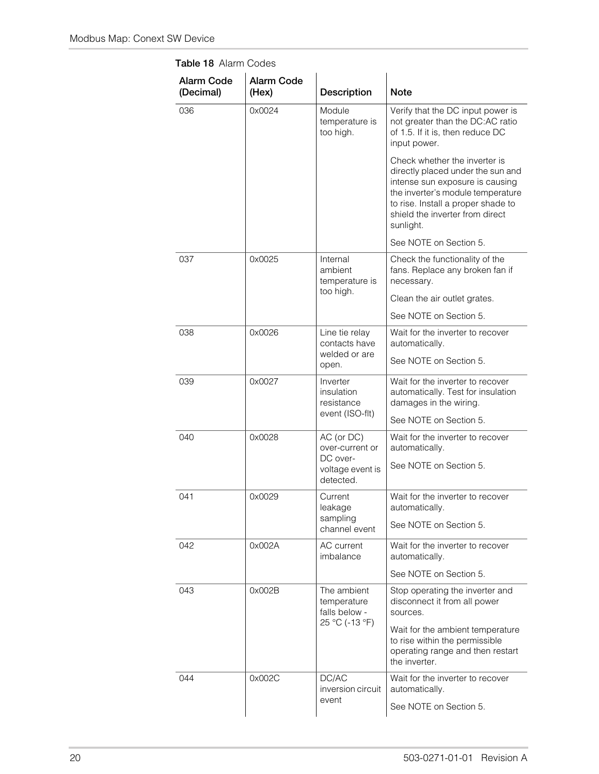| Alarm Code<br>(Decimal) | <b>Alarm Code</b><br>(Hex)                                              | <b>Description</b>                                                                                                      | <b>Note</b>                                                                                                                                                                                                                      |
|-------------------------|-------------------------------------------------------------------------|-------------------------------------------------------------------------------------------------------------------------|----------------------------------------------------------------------------------------------------------------------------------------------------------------------------------------------------------------------------------|
| 036                     | 0x0024                                                                  | Module<br>temperature is<br>too high.                                                                                   | Verify that the DC input power is<br>not greater than the DC:AC ratio<br>of 1.5. If it is, then reduce DC<br>input power.                                                                                                        |
|                         |                                                                         |                                                                                                                         | Check whether the inverter is<br>directly placed under the sun and<br>intense sun exposure is causing<br>the inverter's module temperature<br>to rise. Install a proper shade to<br>shield the inverter from direct<br>sunlight. |
|                         |                                                                         |                                                                                                                         | See NOTE on Section 5.                                                                                                                                                                                                           |
| 037                     | 0x0025<br>Internal<br>ambient<br>temperature is                         | Check the functionality of the<br>fans. Replace any broken fan if<br>necessary.                                         |                                                                                                                                                                                                                                  |
|                         |                                                                         | too high.                                                                                                               | Clean the air outlet grates.                                                                                                                                                                                                     |
|                         |                                                                         |                                                                                                                         | See NOTE on Section 5.                                                                                                                                                                                                           |
| 038                     | 0x0026                                                                  | Line tie relay<br>contacts have<br>welded or are<br>open.                                                               | Wait for the inverter to recover<br>automatically.                                                                                                                                                                               |
|                         |                                                                         |                                                                                                                         | See NOTE on Section 5.                                                                                                                                                                                                           |
| 039                     | 0x0027                                                                  | Inverter<br>insulation<br>resistance                                                                                    | Wait for the inverter to recover<br>automatically. Test for insulation<br>damages in the wiring.                                                                                                                                 |
|                         |                                                                         | event (ISO-flt)                                                                                                         | See NOTE on Section 5.                                                                                                                                                                                                           |
| 040                     | 0x0028                                                                  | AC (or DC)<br>over-current or                                                                                           | Wait for the inverter to recover<br>automatically.                                                                                                                                                                               |
|                         |                                                                         | DC over-<br>voltage event is<br>detected.                                                                               | See NOTE on Section 5.                                                                                                                                                                                                           |
| 041                     | 0x0029                                                                  | Current<br>leakage                                                                                                      | Wait for the inverter to recover<br>automatically.                                                                                                                                                                               |
|                         |                                                                         | sampling<br>channel event                                                                                               | See NOTE on Section 5.                                                                                                                                                                                                           |
| 042                     | 0x002A                                                                  | AC current<br>imbalance                                                                                                 | Wait for the inverter to recover<br>automatically.                                                                                                                                                                               |
|                         |                                                                         |                                                                                                                         | See NOTE on Section 5.                                                                                                                                                                                                           |
| 043                     | 0x002B<br>The ambient<br>temperature<br>falls below -<br>25 °C (-13 °F) |                                                                                                                         | Stop operating the inverter and<br>disconnect it from all power<br>sources.                                                                                                                                                      |
|                         |                                                                         | Wait for the ambient temperature<br>to rise within the permissible<br>operating range and then restart<br>the inverter. |                                                                                                                                                                                                                                  |
| 044                     | 0x002C                                                                  | DC/AC<br>inversion circuit                                                                                              | Wait for the inverter to recover<br>automatically.                                                                                                                                                                               |
|                         |                                                                         | event                                                                                                                   | See NOTE on Section 5.                                                                                                                                                                                                           |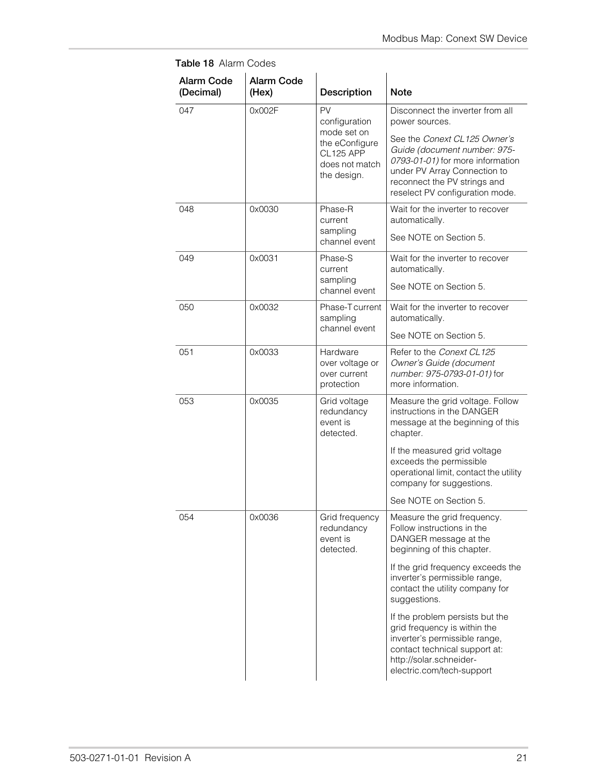| <b>Alarm Code</b><br>(Decimal) | <b>Alarm Code</b><br>(Hex)                             | Description                                                                 | <b>Note</b>                                                                                                                                                                                         |
|--------------------------------|--------------------------------------------------------|-----------------------------------------------------------------------------|-----------------------------------------------------------------------------------------------------------------------------------------------------------------------------------------------------|
| 047                            | 0x002F                                                 | PV<br>configuration                                                         | Disconnect the inverter from all<br>power sources.                                                                                                                                                  |
|                                |                                                        | mode set on<br>the eConfigure<br>CL125 APP<br>does not match<br>the design. | See the Conext CL125 Owner's<br>Guide (document number: 975-<br>0793-01-01) for more information<br>under PV Array Connection to<br>reconnect the PV strings and<br>reselect PV configuration mode. |
| 048                            | 0x0030                                                 | Phase-R<br>current<br>sampling                                              | Wait for the inverter to recover<br>automatically.                                                                                                                                                  |
|                                |                                                        | channel event                                                               | See NOTE on Section 5.                                                                                                                                                                              |
| 049                            | 0x0031                                                 | Phase-S<br>current                                                          | Wait for the inverter to recover<br>automatically.                                                                                                                                                  |
|                                |                                                        | sampling<br>channel event                                                   | See NOTE on Section 5.                                                                                                                                                                              |
| 050                            | 0x0032<br>Phase-T current<br>sampling<br>channel event | Wait for the inverter to recover<br>automatically.                          |                                                                                                                                                                                                     |
|                                |                                                        |                                                                             | See NOTE on Section 5.                                                                                                                                                                              |
| 051                            | 0x0033                                                 | Hardware<br>over voltage or<br>over current<br>protection                   | Refer to the Conext CL125<br>Owner's Guide (document<br>number: 975-0793-01-01) for<br>more information.                                                                                            |
| 053                            | 0x0035                                                 | Grid voltage<br>redundancy<br>event is<br>detected.                         | Measure the grid voltage. Follow<br>instructions in the DANGER<br>message at the beginning of this<br>chapter.                                                                                      |
|                                |                                                        |                                                                             | If the measured grid voltage<br>exceeds the permissible<br>operational limit, contact the utility<br>company for suggestions.                                                                       |
|                                |                                                        |                                                                             | See NOTE on Section 5.                                                                                                                                                                              |
| 054                            | 0x0036                                                 | Grid frequency<br>redundancy<br>event is<br>detected.                       | Measure the grid frequency.<br>Follow instructions in the<br>DANGER message at the<br>beginning of this chapter.                                                                                    |
|                                |                                                        |                                                                             | If the grid frequency exceeds the<br>inverter's permissible range,<br>contact the utility company for<br>suggestions.                                                                               |
|                                |                                                        |                                                                             | If the problem persists but the<br>grid frequency is within the<br>inverter's permissible range,<br>contact technical support at:<br>http://solar.schneider-<br>electric.com/tech-support           |

**Table 18** Alarm Codes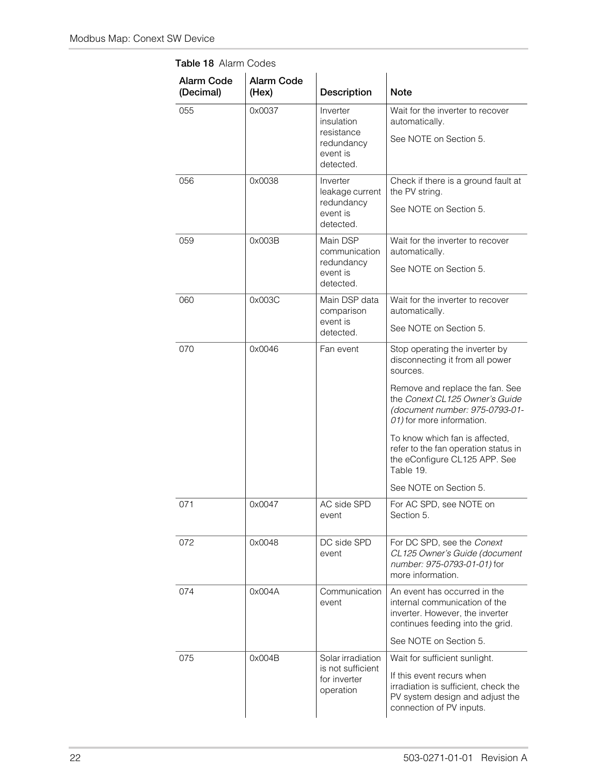| <b>Alarm Code</b><br>(Decimal) | <b>Alarm Code</b><br>(Hex) | Description                                                                 | <b>Note</b>                                                                                                                                                       |
|--------------------------------|----------------------------|-----------------------------------------------------------------------------|-------------------------------------------------------------------------------------------------------------------------------------------------------------------|
| 055                            | 0x0037                     | Inverter<br>insulation<br>resistance<br>redundancy<br>event is<br>detected. | Wait for the inverter to recover<br>automatically.<br>See NOTE on Section 5.                                                                                      |
| 056                            | 0x0038                     | Inverter<br>leakage current<br>redundancy<br>event is<br>detected.          | Check if there is a ground fault at<br>the PV string.<br>See NOTE on Section 5.                                                                                   |
| 059                            | 0x003B                     | Main DSP<br>communication<br>redundancy<br>event is<br>detected.            | Wait for the inverter to recover<br>automatically.<br>See NOTE on Section 5.                                                                                      |
| 060                            | 0x003C                     | Main DSP data<br>comparison<br>event is<br>detected.                        | Wait for the inverter to recover<br>automatically.<br>See NOTE on Section 5.                                                                                      |
| 070                            | 0x0046                     | Fan event                                                                   | Stop operating the inverter by<br>disconnecting it from all power<br>sources.                                                                                     |
|                                |                            |                                                                             | Remove and replace the fan. See<br>the Conext CL125 Owner's Guide<br>(document number: 975-0793-01-<br>01) for more information.                                  |
|                                |                            |                                                                             | To know which fan is affected,<br>refer to the fan operation status in<br>the eConfigure CL125 APP. See<br>Table 19.                                              |
|                                |                            |                                                                             | See NOTE on Section 5.                                                                                                                                            |
| 071                            | 0x0047                     | AC side SPD<br>event                                                        | For AC SPD, see NOTE on<br>Section 5.                                                                                                                             |
| 072                            | 0x0048                     | DC side SPD<br>event                                                        | For DC SPD, see the Conext<br>CL125 Owner's Guide (document<br>number: 975-0793-01-01) for<br>more information.                                                   |
| 074                            | 0x004A                     | Communication<br>event                                                      | An event has occurred in the<br>internal communication of the<br>inverter. However, the inverter<br>continues feeding into the grid.                              |
|                                |                            |                                                                             | See NOTE on Section 5.                                                                                                                                            |
| 075                            | 0x004B                     | Solar irradiation<br>is not sufficient<br>for inverter<br>operation         | Wait for sufficient sunlight.<br>If this event recurs when<br>irradiation is sufficient, check the<br>PV system design and adjust the<br>connection of PV inputs. |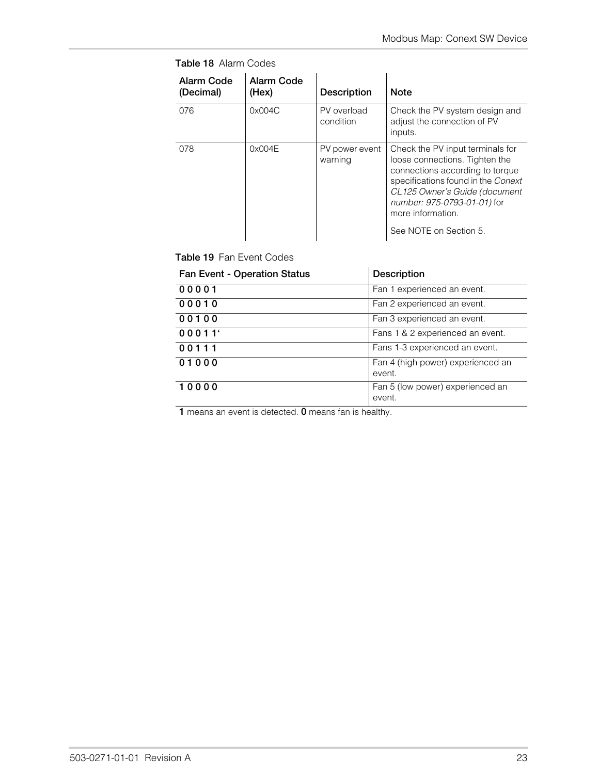| Alarm Code<br>(Decimal) | Alarm Code<br>(Hex) | <b>Description</b>        | <b>Note</b>                                                                                                                                                                                                                                                |
|-------------------------|---------------------|---------------------------|------------------------------------------------------------------------------------------------------------------------------------------------------------------------------------------------------------------------------------------------------------|
| 076                     | 0x004C              | PV overload<br>condition  | Check the PV system design and<br>adjust the connection of PV<br>inputs.                                                                                                                                                                                   |
| 078                     | 0x004E              | PV power event<br>warning | Check the PV input terminals for<br>loose connections. Tighten the<br>connections according to torque<br>specifications found in the Conext<br>CL125 Owner's Guide (document<br>number: 975-0793-01-01) for<br>more information.<br>See NOTE on Section 5. |

**Table 18** Alarm Codes

<span id="page-28-0"></span>**Table 19** Fan Event Codes

| <b>Fan Event - Operation Status</b> | <b>Description</b>                          |
|-------------------------------------|---------------------------------------------|
| 00001                               | Fan 1 experienced an event.                 |
| 00010                               | Fan 2 experienced an event.                 |
| 00100                               | Fan 3 experienced an event.                 |
| 00011'                              | Fans 1 & 2 experienced an event.            |
| 00111                               | Fans 1-3 experienced an event.              |
| 01000                               | Fan 4 (high power) experienced an<br>event. |
| 10000                               | Fan 5 (low power) experienced an<br>event.  |

**1** means an event is detected. **0** means fan is healthy.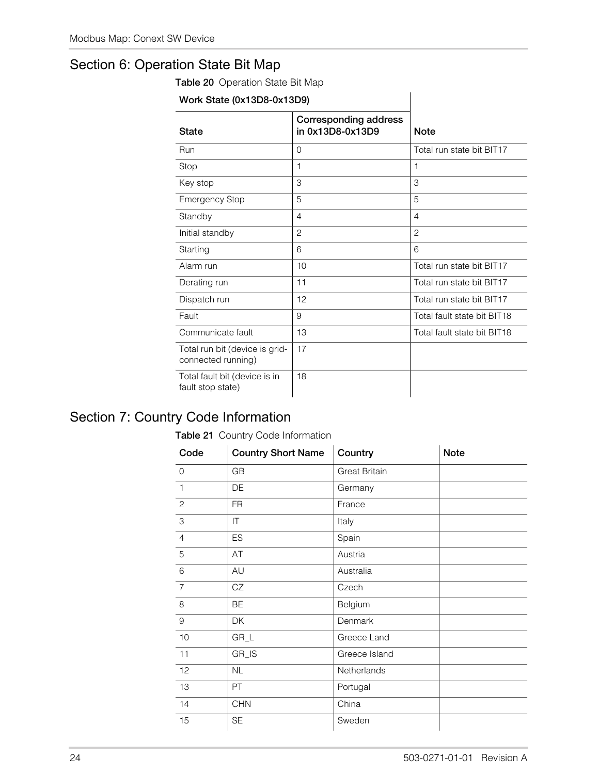### Section 6: Operation State Bit Map

**Table 20** Operation State Bit Map

| Work State (0x13D8-0x13D9)                           |                                                  |                             |
|------------------------------------------------------|--------------------------------------------------|-----------------------------|
| <b>State</b>                                         | <b>Corresponding address</b><br>in 0x13D8-0x13D9 | <b>Note</b>                 |
| Run                                                  | $\Omega$                                         | Total run state bit BIT17   |
| Stop                                                 | 1                                                | 1                           |
| Key stop                                             | 3                                                | 3                           |
| <b>Emergency Stop</b>                                | 5                                                | 5                           |
| Standby                                              | $\overline{4}$                                   | $\overline{4}$              |
| Initial standby                                      | $\overline{2}$                                   | $\overline{2}$              |
| Starting                                             | 6                                                | 6                           |
| Alarm run                                            | 10                                               | Total run state bit BIT17   |
| Derating run                                         | 11                                               | Total run state bit BIT17   |
| Dispatch run                                         | 12                                               | Total run state bit BIT17   |
| Fault                                                | 9                                                | Total fault state bit BIT18 |
| Communicate fault                                    | 13                                               | Total fault state bit BIT18 |
| Total run bit (device is grid-<br>connected running) | 17                                               |                             |
| Total fault bit (device is in<br>fault stop state)   | 18                                               |                             |

### <span id="page-29-0"></span>Section 7: Country Code Information

#### **Table 21** Country Code Information

| Code           | <b>Country Short Name</b> | Country              | <b>Note</b> |
|----------------|---------------------------|----------------------|-------------|
| $\mathbf 0$    | GB                        | <b>Great Britain</b> |             |
| 1              | DE                        | Germany              |             |
| 2              | <b>FR</b>                 | France               |             |
| 3              | IT                        | Italy                |             |
| $\overline{4}$ | <b>ES</b>                 | Spain                |             |
| 5              | AT                        | Austria              |             |
| 6              | AU                        | Australia            |             |
| $\overline{7}$ | CZ                        | Czech                |             |
| 8              | BE                        | Belgium              |             |
| 9              | DK                        | Denmark              |             |
| 10             | $GR_L$                    | Greece Land          |             |
| 11             | GR_IS                     | Greece Island        |             |
| 12             | <b>NL</b>                 | Netherlands          |             |
| 13             | <b>PT</b>                 | Portugal             |             |
| 14             | <b>CHN</b>                | China                |             |
| 15             | <b>SE</b>                 | Sweden               |             |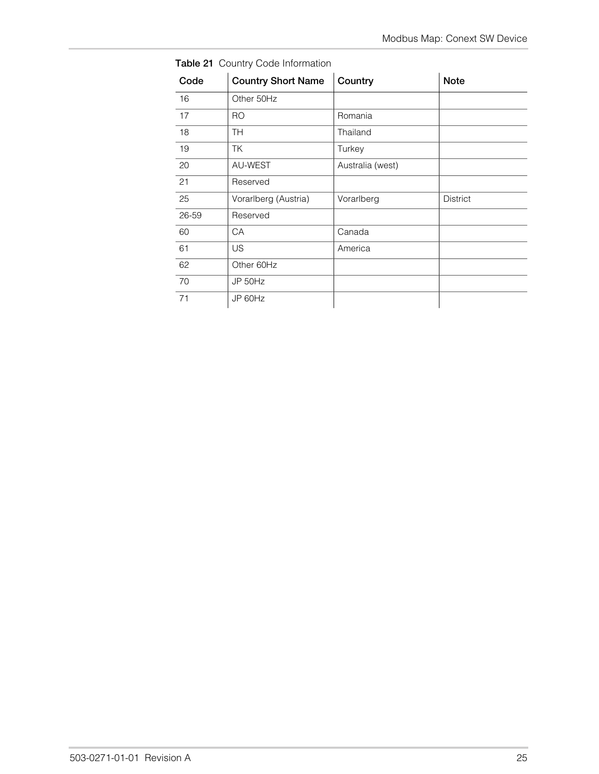| Code  | <b>Country Short Name</b> | Country          | <b>Note</b>     |
|-------|---------------------------|------------------|-----------------|
| 16    | Other 50Hz                |                  |                 |
| 17    | <b>RO</b>                 | Romania          |                 |
| 18    | <b>TH</b>                 | Thailand         |                 |
| 19    | <b>TK</b>                 | Turkey           |                 |
| 20    | AU-WEST                   | Australia (west) |                 |
| 21    | Reserved                  |                  |                 |
| 25    | Vorarlberg (Austria)      | Vorarlberg       | <b>District</b> |
| 26-59 | Reserved                  |                  |                 |
| 60    | CA                        | Canada           |                 |
| 61    | <b>US</b>                 | America          |                 |
| 62    | Other 60Hz                |                  |                 |
| 70    | JP 50Hz                   |                  |                 |
| 71    | JP 60Hz                   |                  |                 |

**Table 21** Country Code Information